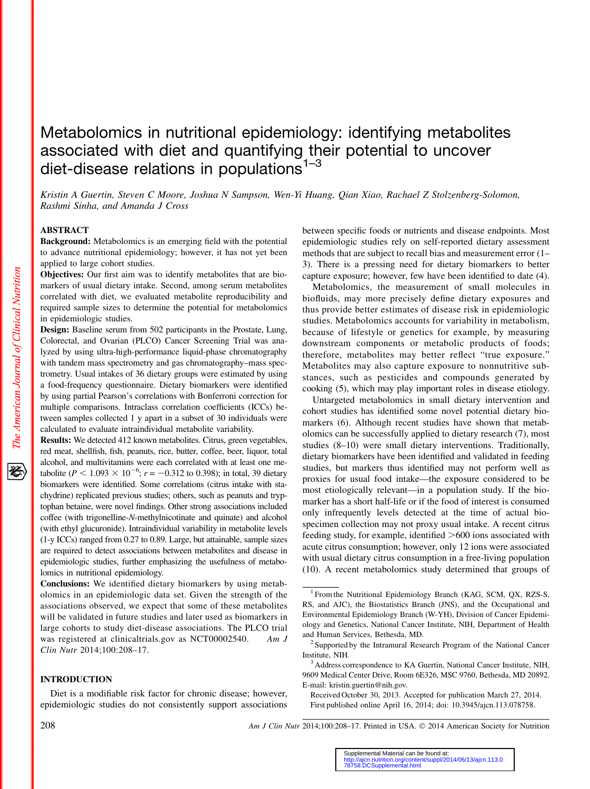# Metabolomics in nutritional epidemiology: identifying metabolites associated with diet and quantifying their potential to uncover diet-disease relations in populations<sup>1-3</sup>

Kristin A Guertin, Steven C Moore, Joshua N Sampson, Wen-Yi Huang, Qian Xiao, Rachael Z Stolzenberg-Solomon, Rashmi Sinha, and Amanda J Cross

# ABSTRACT

Background: Metabolomics is an emerging field with the potential to advance nutritional epidemiology; however, it has not yet been applied to large cohort studies.

Objectives: Our first aim was to identify metabolites that are biomarkers of usual dietary intake. Second, among serum metabolites correlated with diet, we evaluated metabolite reproducibility and required sample sizes to determine the potential for metabolomics in epidemiologic studies.

Design: Baseline serum from 502 participants in the Prostate, Lung, Colorectal, and Ovarian (PLCO) Cancer Screening Trial was analyzed by using ultra-high-performance liquid-phase chromatography with tandem mass spectrometry and gas chromatography–mass spectrometry. Usual intakes of 36 dietary groups were estimated by using a food-frequency questionnaire. Dietary biomarkers were identified by using partial Pearson's correlations with Bonferroni correction for multiple comparisons. Intraclass correlation coefficients (ICCs) between samples collected 1 y apart in a subset of 30 individuals were calculated to evaluate intraindividual metabolite variability.

Results: We detected 412 known metabolites. Citrus, green vegetables, red meat, shellfish, fish, peanuts, rice, butter, coffee, beer, liquor, total alcohol, and multivitamins were each correlated with at least one metabolite ( $P < 1.093 \times 10^{-6}$ ;  $r = -0.312$  to 0.398); in total, 39 dietary biomarkers were identified. Some correlations (citrus intake with stachydrine) replicated previous studies; others, such as peanuts and tryptophan betaine, were novel findings. Other strong associations included coffee (with trigonelline-N-methylnicotinate and quinate) and alcohol (with ethyl glucuronide). Intraindividual variability in metabolite levels (1-y ICCs) ranged from 0.27 to 0.89. Large, but attainable, sample sizes are required to detect associations between metabolites and disease in epidemiologic studies, further emphasizing the usefulness of metabolomics in nutritional epidemiology.

Conclusions: We identified dietary biomarkers by using metabolomics in an epidemiologic data set. Given the strength of the associations observed, we expect that some of these metabolites will be validated in future studies and later used as biomarkers in large cohorts to study diet-disease associations. The PLCO trial was registered at clinicaltrials.gov as NCT00002540. Am J Clin Nutr 2014;100:208–17.

## INTRODUCTION

Diet is a modifiable risk factor for chronic disease; however, epidemiologic studies do not consistently support associations between specific foods or nutrients and disease endpoints. Most epidemiologic studies rely on self-reported dietary assessment methods that are subject to recall bias and measurement error (1– 3). There is a pressing need for dietary biomarkers to better capture exposure; however, few have been identified to date (4).

Metabolomics, the measurement of small molecules in biofluids, may more precisely define dietary exposures and thus provide better estimates of disease risk in epidemiologic studies. Metabolomics accounts for variability in metabolism, because of lifestyle or genetics for example, by measuring downstream components or metabolic products of foods; therefore, metabolites may better reflect "true exposure." Metabolites may also capture exposure to nonnutritive substances, such as pesticides and compounds generated by cooking (5), which may play important roles in disease etiology.

Untargeted metabolomics in small dietary intervention and cohort studies has identified some novel potential dietary biomarkers (6). Although recent studies have shown that metabolomics can be successfully applied to dietary research (7), most studies (8–10) were small dietary interventions. Traditionally, dietary biomarkers have been identified and validated in feeding studies, but markers thus identified may not perform well as proxies for usual food intake—the exposure considered to be most etiologically relevant—in a population study. If the biomarker has a short half-life or if the food of interest is consumed only infrequently levels detected at the time of actual biospecimen collection may not proxy usual intake. A recent citrus feeding study, for example, identified  $>600$  ions associated with acute citrus consumption; however, only 12 ions were associated with usual dietary citrus consumption in a free-living population (10). A recent metabolomics study determined that groups of

Received October 30, 2013. Accepted for publication March 27, 2014. First published online April 16, 2014; doi: 10.3945/ajcn.113.078758.

208 Am J Clin Nutr 2014;100:208-17. Printed in USA. © 2014 American Society for Nutrition

<sup>&</sup>lt;sup>1</sup> From the Nutritional Epidemiology Branch (KAG, SCM, OX, RZS-S, RS, and AJC), the Biostatistics Branch (JNS), and the Occupational and Environmental Epidemiology Branch (W-YH), Division of Cancer Epidemiology and Genetics, National Cancer Institute, NIH, Department of Health and Human Services, Bethesda, MD.<br><sup>2</sup> Supported by the Intramural Research Program of the National Cancer

Institute, NIH.

<sup>&</sup>lt;sup>3</sup> Address correspondence to KA Guertin, National Cancer Institute, NIH, 9609 Medical Center Drive, Room 6E326, MSC 9760, Bethesda, MD 20892. E-mail: kristin.guertin@nih.gov.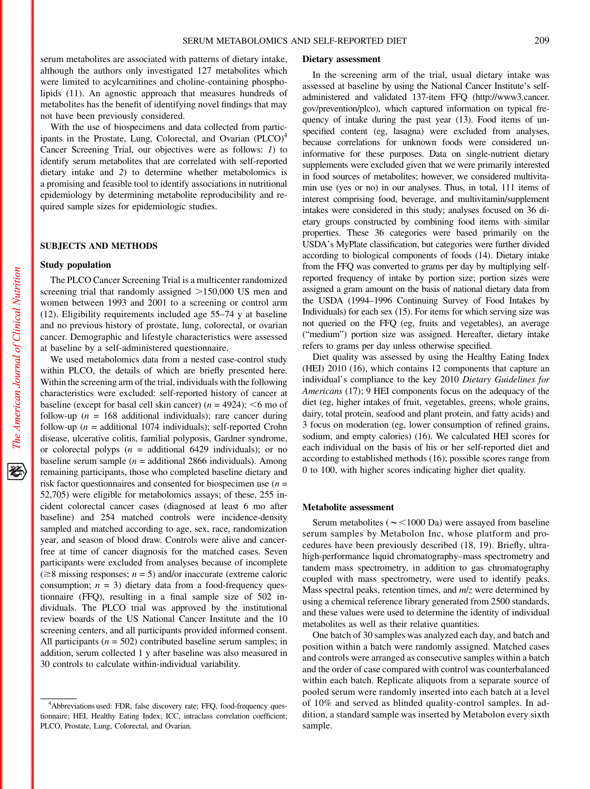serum metabolites are associated with patterns of dietary intake, although the authors only investigated 127 metabolites which were limited to acylcarnitines and choline-containing phospholipids (11). An agnostic approach that measures hundreds of metabolites has the benefit of identifying novel findings that may not have been previously considered.

With the use of biospecimens and data collected from participants in the Prostate, Lung, Colorectal, and Ovarian (PLCO)<sup>4</sup> Cancer Screening Trial, our objectives were as follows: 1) to identify serum metabolites that are correlated with self-reported dietary intake and 2) to determine whether metabolomics is a promising and feasible tool to identify associations in nutritional epidemiology by determining metabolite reproducibility and required sample sizes for epidemiologic studies.

# SUBJECTS AND METHODS

#### Study population

The PLCO Cancer Screening Trial is a multicenter randomized screening trial that randomly assigned  $>150,000$  US men and women between 1993 and 2001 to a screening or control arm (12). Eligibility requirements included age 55–74 y at baseline and no previous history of prostate, lung, colorectal, or ovarian cancer. Demographic and lifestyle characteristics were assessed at baseline by a self-administered questionnaire.

We used metabolomics data from a nested case-control study within PLCO, the details of which are briefly presented here. Within the screening arm of the trial, individuals with the following characteristics were excluded: self-reported history of cancer at baseline (except for basal cell skin cancer) ( $n = 4924$ ); <6 mo of follow-up ( $n = 168$  additional individuals); rare cancer during follow-up ( $n =$  additional 1074 individuals); self-reported Crohn disease, ulcerative colitis, familial polyposis, Gardner syndrome, or colorectal polyps ( $n =$  additional 6429 individuals); or no baseline serum sample ( $n =$  additional 2866 individuals). Among remaining participants, those who completed baseline dietary and risk factor questionnaires and consented for biospecimen use  $(n =$ 52,705) were eligible for metabolomics assays; of these, 255 incident colorectal cancer cases (diagnosed at least 6 mo after baseline) and 254 matched controls were incidence-density sampled and matched according to age, sex, race, randomization year, and season of blood draw. Controls were alive and cancerfree at time of cancer diagnosis for the matched cases. Seven participants were excluded from analyses because of incomplete ( $\geq$ 8 missing responses; *n* = 5) and/or inaccurate (extreme caloric consumption;  $n = 3$ ) dietary data from a food-frequency questionnaire (FFQ), resulting in a final sample size of 502 individuals. The PLCO trial was approved by the institutional review boards of the US National Cancer Institute and the 10 screening centers, and all participants provided informed consent. All participants ( $n = 502$ ) contributed baseline serum samples; in addition, serum collected 1 y after baseline was also measured in 30 controls to calculate within-individual variability.

#### Dietary assessment

In the screening arm of the trial, usual dietary intake was assessed at baseline by using the National Cancer Institute's selfadministered and validated 137-item FFQ (http://www3.cancer. gov/prevention/plco), which captured information on typical frequency of intake during the past year (13). Food items of unspecified content (eg, lasagna) were excluded from analyses, because correlations for unknown foods were considered uninformative for these purposes. Data on single-nutrient dietary supplements were excluded given that we were primarily interested in food sources of metabolites; however, we considered multivitamin use (yes or no) in our analyses. Thus, in total, 111 items of interest comprising food, beverage, and multivitamin/supplement intakes were considered in this study; analyses focused on 36 dietary groups constructed by combining food items with similar properties. These 36 categories were based primarily on the USDA's MyPlate classification, but categories were further divided according to biological components of foods (14). Dietary intake from the FFQ was converted to grams per day by multiplying selfreported frequency of intake by portion size; portion sizes were assigned a gram amount on the basis of national dietary data from the USDA (1994–1996 Continuing Survey of Food Intakes by Individuals) for each sex (15). For items for which serving size was not queried on the FFQ (eg, fruits and vegetables), an average ("medium") portion size was assigned. Hereafter, dietary intake refers to grams per day unless otherwise specified.

Diet quality was assessed by using the Healthy Eating Index (HEI) 2010 (16), which contains 12 components that capture an individual's compliance to the key 2010 Dietary Guidelines for Americans (17); 9 HEI components focus on the adequacy of the diet (eg, higher intakes of fruit, vegetables, greens, whole grains, dairy, total protein, seafood and plant protein, and fatty acids) and 3 focus on moderation (eg, lower consumption of refined grains, sodium, and empty calories) (16). We calculated HEI scores for each individual on the basis of his or her self-reported diet and according to established methods (16); possible scores range from 0 to 100, with higher scores indicating higher diet quality.

#### Metabolite assessment

Serum metabolites ( $\sim$ <1000 Da) were assayed from baseline serum samples by Metabolon Inc, whose platform and procedures have been previously described (18, 19). Briefly, ultrahigh-performance liquid chromatography–mass spectrometry and tandem mass spectrometry, in addition to gas chromatography coupled with mass spectrometry, were used to identify peaks. Mass spectral peaks, retention times, and  $m/z$  were determined by using a chemical reference library generated from 2500 standards, and these values were used to determine the identity of individual metabolites as well as their relative quantities.

One batch of 30 samples was analyzed each day, and batch and position within a batch were randomly assigned. Matched cases and controls were arranged as consecutive samples within a batch and the order of case compared with control was counterbalanced within each batch. Replicate aliquots from a separate source of pooled serum were randomly inserted into each batch at a level of 10% and served as blinded quality-control samples. In addition, a standard sample was inserted by Metabolon every sixth sample.

<sup>&</sup>lt;sup>4</sup>Abbreviations used: FDR, false discovery rate; FFQ, food-frequency questionnaire; HEI, Healthy Eating Index; ICC, intraclass correlation coefficient; PLCO, Prostate, Lung, Colorectal, and Ovarian.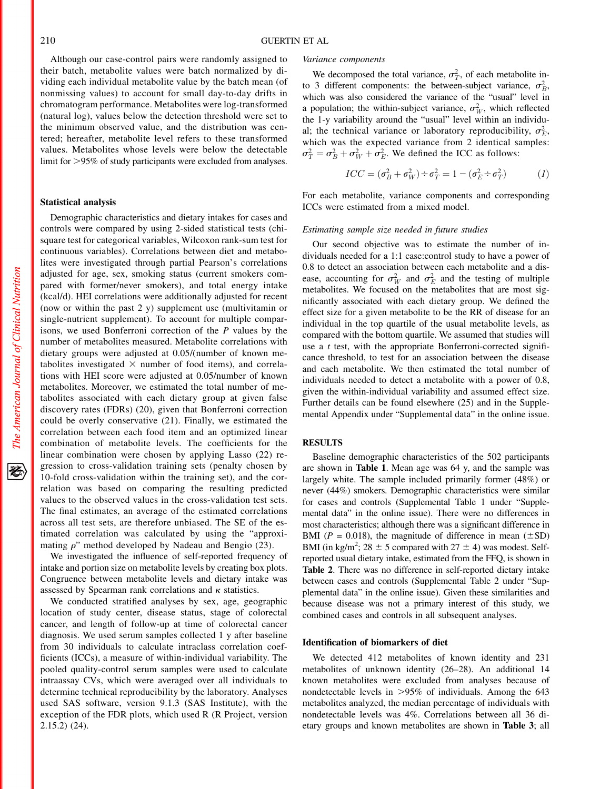Although our case-control pairs were randomly assigned to their batch, metabolite values were batch normalized by dividing each individual metabolite value by the batch mean (of nonmissing values) to account for small day-to-day drifts in chromatogram performance. Metabolites were log-transformed (natural log), values below the detection threshold were set to the minimum observed value, and the distribution was centered; hereafter, metabolite level refers to these transformed values. Metabolites whose levels were below the detectable limit for >95% of study participants were excluded from analyses.

# Statistical analysis

Demographic characteristics and dietary intakes for cases and controls were compared by using 2-sided statistical tests (chisquare test for categorical variables, Wilcoxon rank-sum test for continuous variables). Correlations between diet and metabolites were investigated through partial Pearson's correlations adjusted for age, sex, smoking status (current smokers compared with former/never smokers), and total energy intake (kcal/d). HEI correlations were additionally adjusted for recent (now or within the past 2 y) supplement use (multivitamin or single-nutrient supplement). To account for multiple comparisons, we used Bonferroni correction of the P values by the number of metabolites measured. Metabolite correlations with dietary groups were adjusted at 0.05/(number of known metabolites investigated  $\times$  number of food items), and correlations with HEI score were adjusted at 0.05/number of known metabolites. Moreover, we estimated the total number of metabolites associated with each dietary group at given false discovery rates (FDRs) (20), given that Bonferroni correction could be overly conservative (21). Finally, we estimated the correlation between each food item and an optimized linear combination of metabolite levels. The coefficients for the linear combination were chosen by applying Lasso (22) regression to cross-validation training sets (penalty chosen by 10-fold cross-validation within the training set), and the correlation was based on comparing the resulting predicted values to the observed values in the cross-validation test sets. The final estimates, an average of the estimated correlations across all test sets, are therefore unbiased. The SE of the estimated correlation was calculated by using the "approximating  $\rho$ " method developed by Nadeau and Bengio (23).

We investigated the influence of self-reported frequency of intake and portion size on metabolite levels by creating box plots. Congruence between metabolite levels and dietary intake was assessed by Spearman rank correlations and  $\kappa$  statistics.

We conducted stratified analyses by sex, age, geographic location of study center, disease status, stage of colorectal cancer, and length of follow-up at time of colorectal cancer diagnosis. We used serum samples collected 1 y after baseline from 30 individuals to calculate intraclass correlation coefficients (ICCs), a measure of within-individual variability. The pooled quality-control serum samples were used to calculate intraassay CVs, which were averaged over all individuals to determine technical reproducibility by the laboratory. Analyses used SAS software, version 9.1.3 (SAS Institute), with the exception of the FDR plots, which used R (R Project, version 2.15.2) (24).

#### Variance components

We decomposed the total variance,  $\sigma_T^2$ , of each metabolite into 3 different components: the between-subject variance,  $\sigma_B^2$ , which was also considered the variance of the "usual" level in a population; the within-subject variance,  $\sigma_W^2$ , which reflected the 1-y variability around the "usual" level within an individual; the technical variance or laboratory reproducibility,  $\sigma_E^2$ , which was the expected variance from 2 identical samples:  $\sigma_T^2 = \sigma_B^2 + \sigma_W^2 + \sigma_E^2$ . We defined the ICC as follows:

$$
ICC = (\sigma_B^2 + \sigma_W^2) \div \sigma_T^2 = 1 - (\sigma_E^2 \div \sigma_T^2)
$$
 (1)

For each metabolite, variance components and corresponding ICCs were estimated from a mixed model.

#### Estimating sample size needed in future studies

Our second objective was to estimate the number of individuals needed for a 1:1 case:control study to have a power of 0.8 to detect an association between each metabolite and a disease, accounting for  $\sigma_W^2$  and  $\sigma_E^2$  and the testing of multiple metabolites. We focused on the metabolites that are most significantly associated with each dietary group. We defined the effect size for a given metabolite to be the RR of disease for an individual in the top quartile of the usual metabolite levels, as compared with the bottom quartile. We assumed that studies will use a  $t$  test, with the appropriate Bonferroni-corrected significance threshold, to test for an association between the disease and each metabolite. We then estimated the total number of individuals needed to detect a metabolite with a power of 0.8, given the within-individual variability and assumed effect size. Further details can be found elsewhere (25) and in the Supplemental Appendix under "Supplemental data" in the online issue.

# **RESULTS**

Baseline demographic characteristics of the 502 participants are shown in Table 1. Mean age was 64 y, and the sample was largely white. The sample included primarily former (48%) or never (44%) smokers. Demographic characteristics were similar for cases and controls (Supplemental Table 1 under "Supplemental data" in the online issue). There were no differences in most characteristics; although there was a significant difference in BMI ( $P = 0.018$ ), the magnitude of difference in mean ( $\pm$ SD) BMI (in kg/m<sup>2</sup>; 28  $\pm$  5 compared with 27  $\pm$  4) was modest. Selfreported usual dietary intake, estimated from the FFQ, is shown in Table 2. There was no difference in self-reported dietary intake between cases and controls (Supplemental Table 2 under "Supplemental data" in the online issue). Given these similarities and because disease was not a primary interest of this study, we combined cases and controls in all subsequent analyses.

## Identification of biomarkers of diet

We detected 412 metabolites of known identity and 231 metabolites of unknown identity (26–28). An additional 14 known metabolites were excluded from analyses because of nondetectable levels in  $>95\%$  of individuals. Among the 643 metabolites analyzed, the median percentage of individuals with nondetectable levels was 4%. Correlations between all 36 dietary groups and known metabolites are shown in Table 3; all

经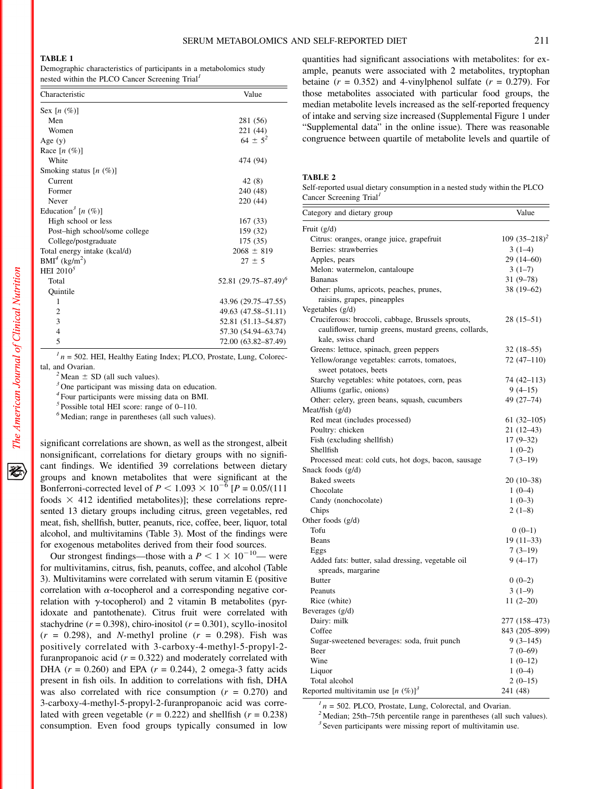#### TABLE 1

Demographic characteristics of participants in a metabolomics study nested within the PLCO Cancer Screening  $Trial<sup>1</sup>$ 

| Characteristic                        | Value                           |
|---------------------------------------|---------------------------------|
| Sex $[n \ (\%)]$                      |                                 |
| Men                                   | 281 (56)                        |
| Women                                 | 221 (44)                        |
| Age $(y)$                             | $64 \pm 5^2$                    |
| Race $[n (%)]$                        |                                 |
| White                                 | 474 (94)                        |
| Smoking status $[n (%)]$              |                                 |
| Current                               | 42 (8)                          |
| Former                                | 240 (48)                        |
| Never                                 | 220 (44)                        |
| Education <sup>3</sup> [n $(\%)$ ]    |                                 |
| High school or less                   | 167(33)                         |
| Post-high school/some college         | 159 (32)                        |
| College/postgraduate                  | 175(35)                         |
| Total energy intake (kcal/d)          | $2068 \pm 819$                  |
| BMI <sup>4</sup> (kg/m <sup>2</sup> ) | $27 \pm 5$                      |
| HEI $2010^5$                          |                                 |
| Total                                 | 52.81 $(29.75 - 87.49)^{\circ}$ |
| Quintile                              |                                 |
| 1                                     | 43.96 (29.75–47.55)             |
| $\overline{2}$                        | 49.63 (47.58–51.11)             |
| 3                                     | 52.81 (51.13-54.87)             |
| $\overline{4}$                        | 57.30 (54.94–63.74)             |
| 5                                     | 72.00 (63.82-87.49)             |

 $1/n = 502$ . HEI, Healthy Eating Index; PLCO, Prostate, Lung, Colorectal, and Ovarian.<br><sup>2</sup> Mean  $\pm$  SD (all such values).<br><sup>3</sup> One participant was missing data on education.

<sup>4</sup> Four participants were missing data on BMI.

<sup>5</sup> Possible total HEI score: range of 0–110.

<sup>6</sup> Median; range in parentheses (all such values).

significant correlations are shown, as well as the strongest, albeit nonsignificant, correlations for dietary groups with no significant findings. We identified 39 correlations between dietary groups and known metabolites that were significant at the Bonferroni-corrected level of  $P < 1.093 \times 10^{-6}$  [ $P = 0.05/(111)$ foods  $\times$  412 identified metabolites)]; these correlations represented 13 dietary groups including citrus, green vegetables, red meat, fish, shellfish, butter, peanuts, rice, coffee, beer, liquor, total alcohol, and multivitamins (Table 3). Most of the findings were for exogenous metabolites derived from their food sources.

Our strongest findings—those with a  $P < 1 \times 10^{-10}$ — were for multivitamins, citrus, fish, peanuts, coffee, and alcohol (Table 3). Multivitamins were correlated with serum vitamin E (positive correlation with  $\alpha$ -tocopherol and a corresponding negative correlation with  $\gamma$ -tocopherol) and 2 vitamin B metabolites (pyridoxate and pantothenate). Citrus fruit were correlated with stachydrine ( $r = 0.398$ ), chiro-inositol ( $r = 0.301$ ), scyllo-inositol  $(r = 0.298)$ , and *N*-methyl proline  $(r = 0.298)$ . Fish was positively correlated with 3-carboxy-4-methyl-5-propyl-2 furanpropanoic acid  $(r = 0.322)$  and moderately correlated with DHA  $(r = 0.260)$  and EPA  $(r = 0.244)$ , 2 omega-3 fatty acids present in fish oils. In addition to correlations with fish, DHA was also correlated with rice consumption  $(r = 0.270)$  and 3-carboxy-4-methyl-5-propyl-2-furanpropanoic acid was correlated with green vegetable ( $r = 0.222$ ) and shellfish ( $r = 0.238$ ) consumption. Even food groups typically consumed in low

quantities had significant associations with metabolites: for example, peanuts were associated with 2 metabolites, tryptophan betaine  $(r = 0.352)$  and 4-vinylphenol sulfate  $(r = 0.279)$ . For those metabolites associated with particular food groups, the median metabolite levels increased as the self-reported frequency of intake and serving size increased (Supplemental Figure 1 under "Supplemental data" in the online issue). There was reasonable congruence between quartile of metabolite levels and quartile of

# TABLE 2

Self-reported usual dietary consumption in a nested study within the PLCO Cancer Screening Trial<sup>1</sup>

| Category and dietary group                            | Value           |
|-------------------------------------------------------|-----------------|
| Fruit $(g/d)$                                         |                 |
| Citrus: oranges, orange juice, grapefruit             | $109(35-218)^2$ |
| Berries: strawberries                                 | $3(1-4)$        |
| Apples, pears                                         | $29(14-60)$     |
| Melon: watermelon, cantaloupe                         | $3(1-7)$        |
| <b>Bananas</b>                                        | $31(9-78)$      |
| Other: plums, apricots, peaches, prunes,              | 38 (19-62)      |
| raisins, grapes, pineapples                           |                 |
| Vegetables (g/d)                                      |                 |
| Cruciferous: broccoli, cabbage, Brussels sprouts,     | 28 (15–51)      |
| cauliflower, turnip greens, mustard greens, collards, |                 |
| kale, swiss chard                                     |                 |
| Greens: lettuce, spinach, green peppers               | $32(18-55)$     |
| Yellow/orange vegetables: carrots, tomatoes,          | $72(47-110)$    |
| sweet potatoes, beets                                 |                 |
| Starchy vegetables: white potatoes, corn, peas        | 74 (42–113)     |
| Alliums (garlic, onions)                              | $9(4-15)$       |
| Other: celery, green beans, squash, cucumbers         | 49 (27-74)      |
| Meat/fish $(g/d)$                                     |                 |
| Red meat (includes processed)                         | $61(32-105)$    |
| Poultry: chicken                                      | $21(12-43)$     |
| Fish (excluding shellfish)                            | $17(9-32)$      |
| Shellfish                                             | $1(0-2)$        |
| Processed meat: cold cuts, hot dogs, bacon, sausage   | $7(3-19)$       |
| Snack foods $(g/d)$                                   |                 |
| <b>Baked</b> sweets                                   | $20(10-38)$     |
| Chocolate                                             | $1(0-4)$        |
| Candy (nonchocolate)                                  | $1(0-3)$        |
| Chips                                                 | $2(1-8)$        |
| Other foods (g/d)                                     |                 |
| Tofu                                                  | $0(0-1)$        |
| Beans                                                 | $19(11-33)$     |
| Eggs                                                  | $7(3-19)$       |
| Added fats: butter, salad dressing, vegetable oil     | $9(4-17)$       |
| spreads, margarine                                    |                 |
| <b>Butter</b>                                         | $0(0-2)$        |
| Peanuts                                               | $3(1-9)$        |
| Rice (white)                                          | $11(2-20)$      |
| Beverages (g/d)                                       |                 |
| Dairy: milk                                           | 277 (158-473)   |
| Coffee                                                | 843 (205-899)   |
| Sugar-sweetened beverages: soda, fruit punch          | $9(3-145)$      |
| Beer                                                  | $7(0-69)$       |
| Wine                                                  | $1(0-12)$       |
| Liquor                                                | $1(0-4)$        |
| Total alcohol                                         | $2(0-15)$       |
| Reported multivitamin use $[n (%)]$ <sup>3</sup>      | 241 (48)        |

 $1 n = 502$ . PLCO, Prostate, Lung, Colorectal, and Ovarian.  $2 \text{ Median}$ ; 25th–75th percentile range in parentheses (all such values).

 $3$  Seven participants were missing report of multivitamin use.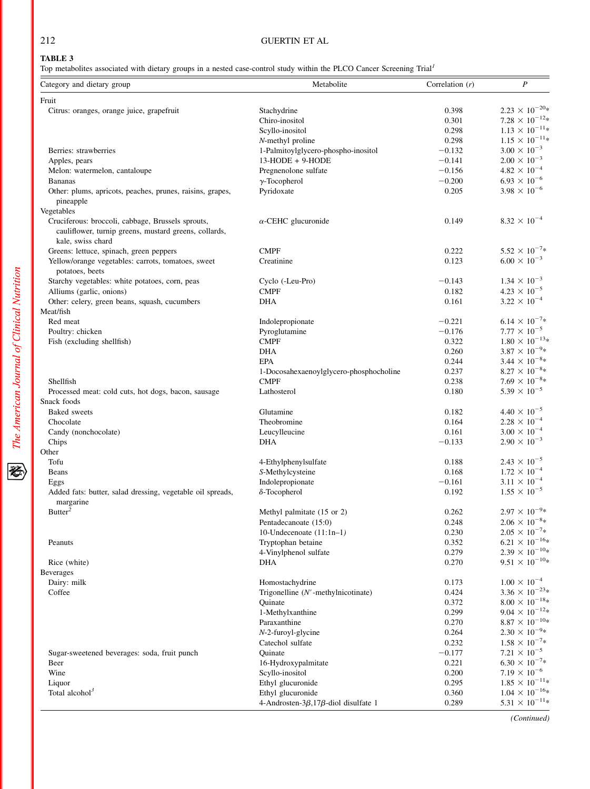# 212 GUERTIN ET AL

# TABLE 3

Top metabolites associated with dietary groups in a nested case-control study within the PLCO Cancer Screening Trial<sup>1</sup>

| Fruit<br>$2.23 \times 10^{-20*}$<br>0.398<br>Citrus: oranges, orange juice, grapefruit<br>Stachydrine<br>$7.28 \times 10^{-12} *$<br>Chiro-inositol<br>0.301<br>$1.13\times10^{-11*}$<br>0.298<br>Scyllo-inositol<br>$1.15 \times 10^{-11*}$<br>0.298<br>N-methyl proline<br>$3.00 \times 10^{-3}$<br>Berries: strawberries<br>$-0.132$<br>1-Palmitoylglycero-phospho-inositol<br>$2.00 \times 10^{-3}$<br>13-HODE + 9-HODE<br>$-0.141$<br>Apples, pears<br>$4.82 \times 10^{-4}$<br>$-0.156$<br>Pregnenolone sulfate<br>Melon: watermelon, cantaloupe<br>$6.93 \times 10^{-6}$<br>$-0.200$<br><b>Bananas</b><br>$\gamma$ -Tocopherol<br>$3.98 \times 10^{-6}$<br>Pyridoxate<br>0.205<br>Other: plums, apricots, peaches, prunes, raisins, grapes,<br>pineapple<br>Vegetables<br>$8.32 \times 10^{-4}$<br>Cruciferous: broccoli, cabbage, Brussels sprouts,<br>0.149<br>$\alpha$ -CEHC glucuronide<br>cauliflower, turnip greens, mustard greens, collards,<br>kale, swiss chard<br>$5.52 \times 10^{-7}$ *<br><b>CMPF</b><br>0.222<br>Greens: lettuce, spinach, green peppers<br>$6.00 \times 10^{-3}$<br>0.123<br>Yellow/orange vegetables: carrots, tomatoes, sweet<br>Creatinine<br>potatoes, beets<br>$1.34 \times 10^{-3}$<br>$-0.143$<br>Starchy vegetables: white potatoes, corn, peas<br>Cyclo (-Leu-Pro)<br>$4.23 \times 10^{-5}$<br>0.182<br>Alliums (garlic, onions)<br><b>CMPF</b><br>$3.22 \times 10^{-4}$<br>0.161<br>Other: celery, green beans, squash, cucumbers<br><b>DHA</b><br>Meat/fish<br>$6.14 \times 10^{-7}$ *<br>Red meat<br>$-0.221$<br>Indolepropionate<br>$7.77 \times 10^{-5}$<br>$-0.176$<br>Poultry: chicken<br>Pyroglutamine<br><b>CMPF</b><br>0.322<br>Fish (excluding shellfish)<br>$3.87 \times 10^{-9*}$<br><b>DHA</b><br>0.260<br>$3.44 \times 10^{-8*}$<br><b>EPA</b><br>0.244<br>$8.27 \times 10^{-8} *$<br>0.237<br>1-Docosahexaenoylglycero-phosphocholine<br>$7.69 \times 10^{-8*}$<br>Shellfish<br><b>CMPF</b><br>0.238<br>$5.39 \times 10^{-5}$<br>Lathosterol<br>0.180<br>Processed meat: cold cuts, hot dogs, bacon, sausage<br>Snack foods<br>$4.40 \times 10^{-5}$<br><b>Baked</b> sweets<br>Glutamine<br>0.182<br>$2.28 \times 10^{-4}$<br>0.164<br>Chocolate<br>Theobromine<br>$3.00 \times 10^{-4}$<br>0.161<br>Candy (nonchocolate)<br>Leucylleucine<br>$2.90 \times 10^{-3}$<br><b>DHA</b><br>$-0.133$<br>Chips<br>Other<br>$2.43 \times 10^{-5}$<br>Tofu<br>0.188<br>4-Ethylphenylsulfate<br>$1.72 \times 10^{-4}$<br>0.168<br>S-Methylcysteine<br>Beans<br>$3.11 \times 10^{-4}$<br>$-0.161$<br>Indolepropionate<br>Eggs<br>$1.55 \times 10^{-5}$<br>$\delta$ -Tocopherol<br>0.192<br>Added fats: butter, salad dressing, vegetable oil spreads,<br>margarine<br>Butter <sup>2</sup><br>$2.97 \times 10^{-9*}$<br>0.262<br>Methyl palmitate (15 or 2)<br>$2.06 \times 10^{-8*}$<br>0.248<br>Pentadecanoate (15:0)<br>10-Undecenoate $(11:1n-1)$<br>0.230<br>0.352<br>Tryptophan betaine<br>Peanuts<br>0.279<br>4-Vinylphenol sulfate<br>0.270<br><b>DHA</b><br>Rice (white)<br><b>Beverages</b><br>$1.00 \times 10^{-4}$<br>Dairy: milk<br>Homostachydrine<br>0.173<br>Coffee<br>Trigonelline $(N'$ -methylnicotinate)<br>0.424<br>Quinate<br>0.372<br>$9.04 \times 10^{-12*}$<br>0.299<br>1-Methylxanthine<br>Paraxanthine<br>0.270<br>$2.30\times10^{-9}\ast$<br>0.264<br>$N-2$ -furoyl-glycine<br>$1.58 \times 10^{-7*}$<br>0.232<br>Catechol sulfate<br>$7.21 \times 10^{-5}$<br>$-0.177$<br>Quinate<br>Sugar-sweetened beverages: soda, fruit punch<br>$6.30 \times 10^{-7*}$<br>0.221<br>16-Hydroxypalmitate<br>Beer<br>$7.19 \times 10^{-6}$<br>Wine<br>0.200<br>Scyllo-inositol<br>Liquor<br>Ethyl glucuronide<br>0.295<br>Total alcohol <sup>3</sup><br>0.360<br>Ethyl glucuronide<br>$5.31 \times 10^{-11*}$<br>4-Androsten- $3\beta$ , 17 $\beta$ -diol disulfate 1<br>0.289 | Category and dietary group | Metabolite | Correlation $(r)$ | $\boldsymbol{P}$ |
|--------------------------------------------------------------------------------------------------------------------------------------------------------------------------------------------------------------------------------------------------------------------------------------------------------------------------------------------------------------------------------------------------------------------------------------------------------------------------------------------------------------------------------------------------------------------------------------------------------------------------------------------------------------------------------------------------------------------------------------------------------------------------------------------------------------------------------------------------------------------------------------------------------------------------------------------------------------------------------------------------------------------------------------------------------------------------------------------------------------------------------------------------------------------------------------------------------------------------------------------------------------------------------------------------------------------------------------------------------------------------------------------------------------------------------------------------------------------------------------------------------------------------------------------------------------------------------------------------------------------------------------------------------------------------------------------------------------------------------------------------------------------------------------------------------------------------------------------------------------------------------------------------------------------------------------------------------------------------------------------------------------------------------------------------------------------------------------------------------------------------------------------------------------------------------------------------------------------------------------------------------------------------------------------------------------------------------------------------------------------------------------------------------------------------------------------------------------------------------------------------------------------------------------------------------------------------------------------------------------------------------------------------------------------------------------------------------------------------------------------------------------------------------------------------------------------------------------------------------------------------------------------------------------------------------------------------------------------------------------------------------------------------------------------------------------------------------------------------------------------------------------------------------------------------------------------------------------------------------------------------------------------------------------------------------------------------------------------------------------------------------------------------------------------------------------------------------------------------------------------------------------------------------------------------------------------------------------------------------------------------------------------------------------------------------------------------------------------------------------------------------------------------------------------------------------------------------------------------|----------------------------|------------|-------------------|------------------|
|                                                                                                                                                                                                                                                                                                                                                                                                                                                                                                                                                                                                                                                                                                                                                                                                                                                                                                                                                                                                                                                                                                                                                                                                                                                                                                                                                                                                                                                                                                                                                                                                                                                                                                                                                                                                                                                                                                                                                                                                                                                                                                                                                                                                                                                                                                                                                                                                                                                                                                                                                                                                                                                                                                                                                                                                                                                                                                                                                                                                                                                                                                                                                                                                                                                                                                                                                                                                                                                                                                                                                                                                                                                                                                                                                                                                                                                  |                            |            |                   |                  |
|                                                                                                                                                                                                                                                                                                                                                                                                                                                                                                                                                                                                                                                                                                                                                                                                                                                                                                                                                                                                                                                                                                                                                                                                                                                                                                                                                                                                                                                                                                                                                                                                                                                                                                                                                                                                                                                                                                                                                                                                                                                                                                                                                                                                                                                                                                                                                                                                                                                                                                                                                                                                                                                                                                                                                                                                                                                                                                                                                                                                                                                                                                                                                                                                                                                                                                                                                                                                                                                                                                                                                                                                                                                                                                                                                                                                                                                  |                            |            |                   |                  |
|                                                                                                                                                                                                                                                                                                                                                                                                                                                                                                                                                                                                                                                                                                                                                                                                                                                                                                                                                                                                                                                                                                                                                                                                                                                                                                                                                                                                                                                                                                                                                                                                                                                                                                                                                                                                                                                                                                                                                                                                                                                                                                                                                                                                                                                                                                                                                                                                                                                                                                                                                                                                                                                                                                                                                                                                                                                                                                                                                                                                                                                                                                                                                                                                                                                                                                                                                                                                                                                                                                                                                                                                                                                                                                                                                                                                                                                  |                            |            |                   |                  |
|                                                                                                                                                                                                                                                                                                                                                                                                                                                                                                                                                                                                                                                                                                                                                                                                                                                                                                                                                                                                                                                                                                                                                                                                                                                                                                                                                                                                                                                                                                                                                                                                                                                                                                                                                                                                                                                                                                                                                                                                                                                                                                                                                                                                                                                                                                                                                                                                                                                                                                                                                                                                                                                                                                                                                                                                                                                                                                                                                                                                                                                                                                                                                                                                                                                                                                                                                                                                                                                                                                                                                                                                                                                                                                                                                                                                                                                  |                            |            |                   |                  |
|                                                                                                                                                                                                                                                                                                                                                                                                                                                                                                                                                                                                                                                                                                                                                                                                                                                                                                                                                                                                                                                                                                                                                                                                                                                                                                                                                                                                                                                                                                                                                                                                                                                                                                                                                                                                                                                                                                                                                                                                                                                                                                                                                                                                                                                                                                                                                                                                                                                                                                                                                                                                                                                                                                                                                                                                                                                                                                                                                                                                                                                                                                                                                                                                                                                                                                                                                                                                                                                                                                                                                                                                                                                                                                                                                                                                                                                  |                            |            |                   |                  |
|                                                                                                                                                                                                                                                                                                                                                                                                                                                                                                                                                                                                                                                                                                                                                                                                                                                                                                                                                                                                                                                                                                                                                                                                                                                                                                                                                                                                                                                                                                                                                                                                                                                                                                                                                                                                                                                                                                                                                                                                                                                                                                                                                                                                                                                                                                                                                                                                                                                                                                                                                                                                                                                                                                                                                                                                                                                                                                                                                                                                                                                                                                                                                                                                                                                                                                                                                                                                                                                                                                                                                                                                                                                                                                                                                                                                                                                  |                            |            |                   |                  |
|                                                                                                                                                                                                                                                                                                                                                                                                                                                                                                                                                                                                                                                                                                                                                                                                                                                                                                                                                                                                                                                                                                                                                                                                                                                                                                                                                                                                                                                                                                                                                                                                                                                                                                                                                                                                                                                                                                                                                                                                                                                                                                                                                                                                                                                                                                                                                                                                                                                                                                                                                                                                                                                                                                                                                                                                                                                                                                                                                                                                                                                                                                                                                                                                                                                                                                                                                                                                                                                                                                                                                                                                                                                                                                                                                                                                                                                  |                            |            |                   |                  |
|                                                                                                                                                                                                                                                                                                                                                                                                                                                                                                                                                                                                                                                                                                                                                                                                                                                                                                                                                                                                                                                                                                                                                                                                                                                                                                                                                                                                                                                                                                                                                                                                                                                                                                                                                                                                                                                                                                                                                                                                                                                                                                                                                                                                                                                                                                                                                                                                                                                                                                                                                                                                                                                                                                                                                                                                                                                                                                                                                                                                                                                                                                                                                                                                                                                                                                                                                                                                                                                                                                                                                                                                                                                                                                                                                                                                                                                  |                            |            |                   |                  |
|                                                                                                                                                                                                                                                                                                                                                                                                                                                                                                                                                                                                                                                                                                                                                                                                                                                                                                                                                                                                                                                                                                                                                                                                                                                                                                                                                                                                                                                                                                                                                                                                                                                                                                                                                                                                                                                                                                                                                                                                                                                                                                                                                                                                                                                                                                                                                                                                                                                                                                                                                                                                                                                                                                                                                                                                                                                                                                                                                                                                                                                                                                                                                                                                                                                                                                                                                                                                                                                                                                                                                                                                                                                                                                                                                                                                                                                  |                            |            |                   |                  |
|                                                                                                                                                                                                                                                                                                                                                                                                                                                                                                                                                                                                                                                                                                                                                                                                                                                                                                                                                                                                                                                                                                                                                                                                                                                                                                                                                                                                                                                                                                                                                                                                                                                                                                                                                                                                                                                                                                                                                                                                                                                                                                                                                                                                                                                                                                                                                                                                                                                                                                                                                                                                                                                                                                                                                                                                                                                                                                                                                                                                                                                                                                                                                                                                                                                                                                                                                                                                                                                                                                                                                                                                                                                                                                                                                                                                                                                  |                            |            |                   |                  |
|                                                                                                                                                                                                                                                                                                                                                                                                                                                                                                                                                                                                                                                                                                                                                                                                                                                                                                                                                                                                                                                                                                                                                                                                                                                                                                                                                                                                                                                                                                                                                                                                                                                                                                                                                                                                                                                                                                                                                                                                                                                                                                                                                                                                                                                                                                                                                                                                                                                                                                                                                                                                                                                                                                                                                                                                                                                                                                                                                                                                                                                                                                                                                                                                                                                                                                                                                                                                                                                                                                                                                                                                                                                                                                                                                                                                                                                  |                            |            |                   |                  |
|                                                                                                                                                                                                                                                                                                                                                                                                                                                                                                                                                                                                                                                                                                                                                                                                                                                                                                                                                                                                                                                                                                                                                                                                                                                                                                                                                                                                                                                                                                                                                                                                                                                                                                                                                                                                                                                                                                                                                                                                                                                                                                                                                                                                                                                                                                                                                                                                                                                                                                                                                                                                                                                                                                                                                                                                                                                                                                                                                                                                                                                                                                                                                                                                                                                                                                                                                                                                                                                                                                                                                                                                                                                                                                                                                                                                                                                  |                            |            |                   |                  |
|                                                                                                                                                                                                                                                                                                                                                                                                                                                                                                                                                                                                                                                                                                                                                                                                                                                                                                                                                                                                                                                                                                                                                                                                                                                                                                                                                                                                                                                                                                                                                                                                                                                                                                                                                                                                                                                                                                                                                                                                                                                                                                                                                                                                                                                                                                                                                                                                                                                                                                                                                                                                                                                                                                                                                                                                                                                                                                                                                                                                                                                                                                                                                                                                                                                                                                                                                                                                                                                                                                                                                                                                                                                                                                                                                                                                                                                  |                            |            |                   |                  |
|                                                                                                                                                                                                                                                                                                                                                                                                                                                                                                                                                                                                                                                                                                                                                                                                                                                                                                                                                                                                                                                                                                                                                                                                                                                                                                                                                                                                                                                                                                                                                                                                                                                                                                                                                                                                                                                                                                                                                                                                                                                                                                                                                                                                                                                                                                                                                                                                                                                                                                                                                                                                                                                                                                                                                                                                                                                                                                                                                                                                                                                                                                                                                                                                                                                                                                                                                                                                                                                                                                                                                                                                                                                                                                                                                                                                                                                  |                            |            |                   |                  |
| $1.80 \times 10^{-13*}$<br>$2.05 \times 10^{-7}$ *<br>$6.21 \times 10^{-16} *$<br>$2.39 \times 10^{-10*}$<br>$9.51\,\times\,10^{-10}\ast$<br>$3.36 \times 10^{-23*}$<br>$8.00 \times 10^{-18} *$<br>$8.87 \times 10^{-10*}$<br>$1.85 \times 10^{-11*}$<br>$1.04 \times 10^{-16} *$                                                                                                                                                                                                                                                                                                                                                                                                                                                                                                                                                                                                                                                                                                                                                                                                                                                                                                                                                                                                                                                                                                                                                                                                                                                                                                                                                                                                                                                                                                                                                                                                                                                                                                                                                                                                                                                                                                                                                                                                                                                                                                                                                                                                                                                                                                                                                                                                                                                                                                                                                                                                                                                                                                                                                                                                                                                                                                                                                                                                                                                                                                                                                                                                                                                                                                                                                                                                                                                                                                                                                               |                            |            |                   |                  |
|                                                                                                                                                                                                                                                                                                                                                                                                                                                                                                                                                                                                                                                                                                                                                                                                                                                                                                                                                                                                                                                                                                                                                                                                                                                                                                                                                                                                                                                                                                                                                                                                                                                                                                                                                                                                                                                                                                                                                                                                                                                                                                                                                                                                                                                                                                                                                                                                                                                                                                                                                                                                                                                                                                                                                                                                                                                                                                                                                                                                                                                                                                                                                                                                                                                                                                                                                                                                                                                                                                                                                                                                                                                                                                                                                                                                                                                  |                            |            |                   |                  |
|                                                                                                                                                                                                                                                                                                                                                                                                                                                                                                                                                                                                                                                                                                                                                                                                                                                                                                                                                                                                                                                                                                                                                                                                                                                                                                                                                                                                                                                                                                                                                                                                                                                                                                                                                                                                                                                                                                                                                                                                                                                                                                                                                                                                                                                                                                                                                                                                                                                                                                                                                                                                                                                                                                                                                                                                                                                                                                                                                                                                                                                                                                                                                                                                                                                                                                                                                                                                                                                                                                                                                                                                                                                                                                                                                                                                                                                  |                            |            |                   |                  |
|                                                                                                                                                                                                                                                                                                                                                                                                                                                                                                                                                                                                                                                                                                                                                                                                                                                                                                                                                                                                                                                                                                                                                                                                                                                                                                                                                                                                                                                                                                                                                                                                                                                                                                                                                                                                                                                                                                                                                                                                                                                                                                                                                                                                                                                                                                                                                                                                                                                                                                                                                                                                                                                                                                                                                                                                                                                                                                                                                                                                                                                                                                                                                                                                                                                                                                                                                                                                                                                                                                                                                                                                                                                                                                                                                                                                                                                  |                            |            |                   |                  |
|                                                                                                                                                                                                                                                                                                                                                                                                                                                                                                                                                                                                                                                                                                                                                                                                                                                                                                                                                                                                                                                                                                                                                                                                                                                                                                                                                                                                                                                                                                                                                                                                                                                                                                                                                                                                                                                                                                                                                                                                                                                                                                                                                                                                                                                                                                                                                                                                                                                                                                                                                                                                                                                                                                                                                                                                                                                                                                                                                                                                                                                                                                                                                                                                                                                                                                                                                                                                                                                                                                                                                                                                                                                                                                                                                                                                                                                  |                            |            |                   |                  |
|                                                                                                                                                                                                                                                                                                                                                                                                                                                                                                                                                                                                                                                                                                                                                                                                                                                                                                                                                                                                                                                                                                                                                                                                                                                                                                                                                                                                                                                                                                                                                                                                                                                                                                                                                                                                                                                                                                                                                                                                                                                                                                                                                                                                                                                                                                                                                                                                                                                                                                                                                                                                                                                                                                                                                                                                                                                                                                                                                                                                                                                                                                                                                                                                                                                                                                                                                                                                                                                                                                                                                                                                                                                                                                                                                                                                                                                  |                            |            |                   |                  |
|                                                                                                                                                                                                                                                                                                                                                                                                                                                                                                                                                                                                                                                                                                                                                                                                                                                                                                                                                                                                                                                                                                                                                                                                                                                                                                                                                                                                                                                                                                                                                                                                                                                                                                                                                                                                                                                                                                                                                                                                                                                                                                                                                                                                                                                                                                                                                                                                                                                                                                                                                                                                                                                                                                                                                                                                                                                                                                                                                                                                                                                                                                                                                                                                                                                                                                                                                                                                                                                                                                                                                                                                                                                                                                                                                                                                                                                  |                            |            |                   |                  |
|                                                                                                                                                                                                                                                                                                                                                                                                                                                                                                                                                                                                                                                                                                                                                                                                                                                                                                                                                                                                                                                                                                                                                                                                                                                                                                                                                                                                                                                                                                                                                                                                                                                                                                                                                                                                                                                                                                                                                                                                                                                                                                                                                                                                                                                                                                                                                                                                                                                                                                                                                                                                                                                                                                                                                                                                                                                                                                                                                                                                                                                                                                                                                                                                                                                                                                                                                                                                                                                                                                                                                                                                                                                                                                                                                                                                                                                  |                            |            |                   |                  |
|                                                                                                                                                                                                                                                                                                                                                                                                                                                                                                                                                                                                                                                                                                                                                                                                                                                                                                                                                                                                                                                                                                                                                                                                                                                                                                                                                                                                                                                                                                                                                                                                                                                                                                                                                                                                                                                                                                                                                                                                                                                                                                                                                                                                                                                                                                                                                                                                                                                                                                                                                                                                                                                                                                                                                                                                                                                                                                                                                                                                                                                                                                                                                                                                                                                                                                                                                                                                                                                                                                                                                                                                                                                                                                                                                                                                                                                  |                            |            |                   |                  |
|                                                                                                                                                                                                                                                                                                                                                                                                                                                                                                                                                                                                                                                                                                                                                                                                                                                                                                                                                                                                                                                                                                                                                                                                                                                                                                                                                                                                                                                                                                                                                                                                                                                                                                                                                                                                                                                                                                                                                                                                                                                                                                                                                                                                                                                                                                                                                                                                                                                                                                                                                                                                                                                                                                                                                                                                                                                                                                                                                                                                                                                                                                                                                                                                                                                                                                                                                                                                                                                                                                                                                                                                                                                                                                                                                                                                                                                  |                            |            |                   |                  |
|                                                                                                                                                                                                                                                                                                                                                                                                                                                                                                                                                                                                                                                                                                                                                                                                                                                                                                                                                                                                                                                                                                                                                                                                                                                                                                                                                                                                                                                                                                                                                                                                                                                                                                                                                                                                                                                                                                                                                                                                                                                                                                                                                                                                                                                                                                                                                                                                                                                                                                                                                                                                                                                                                                                                                                                                                                                                                                                                                                                                                                                                                                                                                                                                                                                                                                                                                                                                                                                                                                                                                                                                                                                                                                                                                                                                                                                  |                            |            |                   |                  |
|                                                                                                                                                                                                                                                                                                                                                                                                                                                                                                                                                                                                                                                                                                                                                                                                                                                                                                                                                                                                                                                                                                                                                                                                                                                                                                                                                                                                                                                                                                                                                                                                                                                                                                                                                                                                                                                                                                                                                                                                                                                                                                                                                                                                                                                                                                                                                                                                                                                                                                                                                                                                                                                                                                                                                                                                                                                                                                                                                                                                                                                                                                                                                                                                                                                                                                                                                                                                                                                                                                                                                                                                                                                                                                                                                                                                                                                  |                            |            |                   |                  |
|                                                                                                                                                                                                                                                                                                                                                                                                                                                                                                                                                                                                                                                                                                                                                                                                                                                                                                                                                                                                                                                                                                                                                                                                                                                                                                                                                                                                                                                                                                                                                                                                                                                                                                                                                                                                                                                                                                                                                                                                                                                                                                                                                                                                                                                                                                                                                                                                                                                                                                                                                                                                                                                                                                                                                                                                                                                                                                                                                                                                                                                                                                                                                                                                                                                                                                                                                                                                                                                                                                                                                                                                                                                                                                                                                                                                                                                  |                            |            |                   |                  |
|                                                                                                                                                                                                                                                                                                                                                                                                                                                                                                                                                                                                                                                                                                                                                                                                                                                                                                                                                                                                                                                                                                                                                                                                                                                                                                                                                                                                                                                                                                                                                                                                                                                                                                                                                                                                                                                                                                                                                                                                                                                                                                                                                                                                                                                                                                                                                                                                                                                                                                                                                                                                                                                                                                                                                                                                                                                                                                                                                                                                                                                                                                                                                                                                                                                                                                                                                                                                                                                                                                                                                                                                                                                                                                                                                                                                                                                  |                            |            |                   |                  |
|                                                                                                                                                                                                                                                                                                                                                                                                                                                                                                                                                                                                                                                                                                                                                                                                                                                                                                                                                                                                                                                                                                                                                                                                                                                                                                                                                                                                                                                                                                                                                                                                                                                                                                                                                                                                                                                                                                                                                                                                                                                                                                                                                                                                                                                                                                                                                                                                                                                                                                                                                                                                                                                                                                                                                                                                                                                                                                                                                                                                                                                                                                                                                                                                                                                                                                                                                                                                                                                                                                                                                                                                                                                                                                                                                                                                                                                  |                            |            |                   |                  |
|                                                                                                                                                                                                                                                                                                                                                                                                                                                                                                                                                                                                                                                                                                                                                                                                                                                                                                                                                                                                                                                                                                                                                                                                                                                                                                                                                                                                                                                                                                                                                                                                                                                                                                                                                                                                                                                                                                                                                                                                                                                                                                                                                                                                                                                                                                                                                                                                                                                                                                                                                                                                                                                                                                                                                                                                                                                                                                                                                                                                                                                                                                                                                                                                                                                                                                                                                                                                                                                                                                                                                                                                                                                                                                                                                                                                                                                  |                            |            |                   |                  |
|                                                                                                                                                                                                                                                                                                                                                                                                                                                                                                                                                                                                                                                                                                                                                                                                                                                                                                                                                                                                                                                                                                                                                                                                                                                                                                                                                                                                                                                                                                                                                                                                                                                                                                                                                                                                                                                                                                                                                                                                                                                                                                                                                                                                                                                                                                                                                                                                                                                                                                                                                                                                                                                                                                                                                                                                                                                                                                                                                                                                                                                                                                                                                                                                                                                                                                                                                                                                                                                                                                                                                                                                                                                                                                                                                                                                                                                  |                            |            |                   |                  |
|                                                                                                                                                                                                                                                                                                                                                                                                                                                                                                                                                                                                                                                                                                                                                                                                                                                                                                                                                                                                                                                                                                                                                                                                                                                                                                                                                                                                                                                                                                                                                                                                                                                                                                                                                                                                                                                                                                                                                                                                                                                                                                                                                                                                                                                                                                                                                                                                                                                                                                                                                                                                                                                                                                                                                                                                                                                                                                                                                                                                                                                                                                                                                                                                                                                                                                                                                                                                                                                                                                                                                                                                                                                                                                                                                                                                                                                  |                            |            |                   |                  |
|                                                                                                                                                                                                                                                                                                                                                                                                                                                                                                                                                                                                                                                                                                                                                                                                                                                                                                                                                                                                                                                                                                                                                                                                                                                                                                                                                                                                                                                                                                                                                                                                                                                                                                                                                                                                                                                                                                                                                                                                                                                                                                                                                                                                                                                                                                                                                                                                                                                                                                                                                                                                                                                                                                                                                                                                                                                                                                                                                                                                                                                                                                                                                                                                                                                                                                                                                                                                                                                                                                                                                                                                                                                                                                                                                                                                                                                  |                            |            |                   |                  |
|                                                                                                                                                                                                                                                                                                                                                                                                                                                                                                                                                                                                                                                                                                                                                                                                                                                                                                                                                                                                                                                                                                                                                                                                                                                                                                                                                                                                                                                                                                                                                                                                                                                                                                                                                                                                                                                                                                                                                                                                                                                                                                                                                                                                                                                                                                                                                                                                                                                                                                                                                                                                                                                                                                                                                                                                                                                                                                                                                                                                                                                                                                                                                                                                                                                                                                                                                                                                                                                                                                                                                                                                                                                                                                                                                                                                                                                  |                            |            |                   |                  |
|                                                                                                                                                                                                                                                                                                                                                                                                                                                                                                                                                                                                                                                                                                                                                                                                                                                                                                                                                                                                                                                                                                                                                                                                                                                                                                                                                                                                                                                                                                                                                                                                                                                                                                                                                                                                                                                                                                                                                                                                                                                                                                                                                                                                                                                                                                                                                                                                                                                                                                                                                                                                                                                                                                                                                                                                                                                                                                                                                                                                                                                                                                                                                                                                                                                                                                                                                                                                                                                                                                                                                                                                                                                                                                                                                                                                                                                  |                            |            |                   |                  |
|                                                                                                                                                                                                                                                                                                                                                                                                                                                                                                                                                                                                                                                                                                                                                                                                                                                                                                                                                                                                                                                                                                                                                                                                                                                                                                                                                                                                                                                                                                                                                                                                                                                                                                                                                                                                                                                                                                                                                                                                                                                                                                                                                                                                                                                                                                                                                                                                                                                                                                                                                                                                                                                                                                                                                                                                                                                                                                                                                                                                                                                                                                                                                                                                                                                                                                                                                                                                                                                                                                                                                                                                                                                                                                                                                                                                                                                  |                            |            |                   |                  |
|                                                                                                                                                                                                                                                                                                                                                                                                                                                                                                                                                                                                                                                                                                                                                                                                                                                                                                                                                                                                                                                                                                                                                                                                                                                                                                                                                                                                                                                                                                                                                                                                                                                                                                                                                                                                                                                                                                                                                                                                                                                                                                                                                                                                                                                                                                                                                                                                                                                                                                                                                                                                                                                                                                                                                                                                                                                                                                                                                                                                                                                                                                                                                                                                                                                                                                                                                                                                                                                                                                                                                                                                                                                                                                                                                                                                                                                  |                            |            |                   |                  |
|                                                                                                                                                                                                                                                                                                                                                                                                                                                                                                                                                                                                                                                                                                                                                                                                                                                                                                                                                                                                                                                                                                                                                                                                                                                                                                                                                                                                                                                                                                                                                                                                                                                                                                                                                                                                                                                                                                                                                                                                                                                                                                                                                                                                                                                                                                                                                                                                                                                                                                                                                                                                                                                                                                                                                                                                                                                                                                                                                                                                                                                                                                                                                                                                                                                                                                                                                                                                                                                                                                                                                                                                                                                                                                                                                                                                                                                  |                            |            |                   |                  |
|                                                                                                                                                                                                                                                                                                                                                                                                                                                                                                                                                                                                                                                                                                                                                                                                                                                                                                                                                                                                                                                                                                                                                                                                                                                                                                                                                                                                                                                                                                                                                                                                                                                                                                                                                                                                                                                                                                                                                                                                                                                                                                                                                                                                                                                                                                                                                                                                                                                                                                                                                                                                                                                                                                                                                                                                                                                                                                                                                                                                                                                                                                                                                                                                                                                                                                                                                                                                                                                                                                                                                                                                                                                                                                                                                                                                                                                  |                            |            |                   |                  |
|                                                                                                                                                                                                                                                                                                                                                                                                                                                                                                                                                                                                                                                                                                                                                                                                                                                                                                                                                                                                                                                                                                                                                                                                                                                                                                                                                                                                                                                                                                                                                                                                                                                                                                                                                                                                                                                                                                                                                                                                                                                                                                                                                                                                                                                                                                                                                                                                                                                                                                                                                                                                                                                                                                                                                                                                                                                                                                                                                                                                                                                                                                                                                                                                                                                                                                                                                                                                                                                                                                                                                                                                                                                                                                                                                                                                                                                  |                            |            |                   |                  |
|                                                                                                                                                                                                                                                                                                                                                                                                                                                                                                                                                                                                                                                                                                                                                                                                                                                                                                                                                                                                                                                                                                                                                                                                                                                                                                                                                                                                                                                                                                                                                                                                                                                                                                                                                                                                                                                                                                                                                                                                                                                                                                                                                                                                                                                                                                                                                                                                                                                                                                                                                                                                                                                                                                                                                                                                                                                                                                                                                                                                                                                                                                                                                                                                                                                                                                                                                                                                                                                                                                                                                                                                                                                                                                                                                                                                                                                  |                            |            |                   |                  |
|                                                                                                                                                                                                                                                                                                                                                                                                                                                                                                                                                                                                                                                                                                                                                                                                                                                                                                                                                                                                                                                                                                                                                                                                                                                                                                                                                                                                                                                                                                                                                                                                                                                                                                                                                                                                                                                                                                                                                                                                                                                                                                                                                                                                                                                                                                                                                                                                                                                                                                                                                                                                                                                                                                                                                                                                                                                                                                                                                                                                                                                                                                                                                                                                                                                                                                                                                                                                                                                                                                                                                                                                                                                                                                                                                                                                                                                  |                            |            |                   |                  |
|                                                                                                                                                                                                                                                                                                                                                                                                                                                                                                                                                                                                                                                                                                                                                                                                                                                                                                                                                                                                                                                                                                                                                                                                                                                                                                                                                                                                                                                                                                                                                                                                                                                                                                                                                                                                                                                                                                                                                                                                                                                                                                                                                                                                                                                                                                                                                                                                                                                                                                                                                                                                                                                                                                                                                                                                                                                                                                                                                                                                                                                                                                                                                                                                                                                                                                                                                                                                                                                                                                                                                                                                                                                                                                                                                                                                                                                  |                            |            |                   |                  |
|                                                                                                                                                                                                                                                                                                                                                                                                                                                                                                                                                                                                                                                                                                                                                                                                                                                                                                                                                                                                                                                                                                                                                                                                                                                                                                                                                                                                                                                                                                                                                                                                                                                                                                                                                                                                                                                                                                                                                                                                                                                                                                                                                                                                                                                                                                                                                                                                                                                                                                                                                                                                                                                                                                                                                                                                                                                                                                                                                                                                                                                                                                                                                                                                                                                                                                                                                                                                                                                                                                                                                                                                                                                                                                                                                                                                                                                  |                            |            |                   |                  |
|                                                                                                                                                                                                                                                                                                                                                                                                                                                                                                                                                                                                                                                                                                                                                                                                                                                                                                                                                                                                                                                                                                                                                                                                                                                                                                                                                                                                                                                                                                                                                                                                                                                                                                                                                                                                                                                                                                                                                                                                                                                                                                                                                                                                                                                                                                                                                                                                                                                                                                                                                                                                                                                                                                                                                                                                                                                                                                                                                                                                                                                                                                                                                                                                                                                                                                                                                                                                                                                                                                                                                                                                                                                                                                                                                                                                                                                  |                            |            |                   |                  |
|                                                                                                                                                                                                                                                                                                                                                                                                                                                                                                                                                                                                                                                                                                                                                                                                                                                                                                                                                                                                                                                                                                                                                                                                                                                                                                                                                                                                                                                                                                                                                                                                                                                                                                                                                                                                                                                                                                                                                                                                                                                                                                                                                                                                                                                                                                                                                                                                                                                                                                                                                                                                                                                                                                                                                                                                                                                                                                                                                                                                                                                                                                                                                                                                                                                                                                                                                                                                                                                                                                                                                                                                                                                                                                                                                                                                                                                  |                            |            |                   |                  |
|                                                                                                                                                                                                                                                                                                                                                                                                                                                                                                                                                                                                                                                                                                                                                                                                                                                                                                                                                                                                                                                                                                                                                                                                                                                                                                                                                                                                                                                                                                                                                                                                                                                                                                                                                                                                                                                                                                                                                                                                                                                                                                                                                                                                                                                                                                                                                                                                                                                                                                                                                                                                                                                                                                                                                                                                                                                                                                                                                                                                                                                                                                                                                                                                                                                                                                                                                                                                                                                                                                                                                                                                                                                                                                                                                                                                                                                  |                            |            |                   |                  |
|                                                                                                                                                                                                                                                                                                                                                                                                                                                                                                                                                                                                                                                                                                                                                                                                                                                                                                                                                                                                                                                                                                                                                                                                                                                                                                                                                                                                                                                                                                                                                                                                                                                                                                                                                                                                                                                                                                                                                                                                                                                                                                                                                                                                                                                                                                                                                                                                                                                                                                                                                                                                                                                                                                                                                                                                                                                                                                                                                                                                                                                                                                                                                                                                                                                                                                                                                                                                                                                                                                                                                                                                                                                                                                                                                                                                                                                  |                            |            |                   |                  |
|                                                                                                                                                                                                                                                                                                                                                                                                                                                                                                                                                                                                                                                                                                                                                                                                                                                                                                                                                                                                                                                                                                                                                                                                                                                                                                                                                                                                                                                                                                                                                                                                                                                                                                                                                                                                                                                                                                                                                                                                                                                                                                                                                                                                                                                                                                                                                                                                                                                                                                                                                                                                                                                                                                                                                                                                                                                                                                                                                                                                                                                                                                                                                                                                                                                                                                                                                                                                                                                                                                                                                                                                                                                                                                                                                                                                                                                  |                            |            |                   |                  |
|                                                                                                                                                                                                                                                                                                                                                                                                                                                                                                                                                                                                                                                                                                                                                                                                                                                                                                                                                                                                                                                                                                                                                                                                                                                                                                                                                                                                                                                                                                                                                                                                                                                                                                                                                                                                                                                                                                                                                                                                                                                                                                                                                                                                                                                                                                                                                                                                                                                                                                                                                                                                                                                                                                                                                                                                                                                                                                                                                                                                                                                                                                                                                                                                                                                                                                                                                                                                                                                                                                                                                                                                                                                                                                                                                                                                                                                  |                            |            |                   |                  |
|                                                                                                                                                                                                                                                                                                                                                                                                                                                                                                                                                                                                                                                                                                                                                                                                                                                                                                                                                                                                                                                                                                                                                                                                                                                                                                                                                                                                                                                                                                                                                                                                                                                                                                                                                                                                                                                                                                                                                                                                                                                                                                                                                                                                                                                                                                                                                                                                                                                                                                                                                                                                                                                                                                                                                                                                                                                                                                                                                                                                                                                                                                                                                                                                                                                                                                                                                                                                                                                                                                                                                                                                                                                                                                                                                                                                                                                  |                            |            |                   |                  |
|                                                                                                                                                                                                                                                                                                                                                                                                                                                                                                                                                                                                                                                                                                                                                                                                                                                                                                                                                                                                                                                                                                                                                                                                                                                                                                                                                                                                                                                                                                                                                                                                                                                                                                                                                                                                                                                                                                                                                                                                                                                                                                                                                                                                                                                                                                                                                                                                                                                                                                                                                                                                                                                                                                                                                                                                                                                                                                                                                                                                                                                                                                                                                                                                                                                                                                                                                                                                                                                                                                                                                                                                                                                                                                                                                                                                                                                  |                            |            |                   |                  |
|                                                                                                                                                                                                                                                                                                                                                                                                                                                                                                                                                                                                                                                                                                                                                                                                                                                                                                                                                                                                                                                                                                                                                                                                                                                                                                                                                                                                                                                                                                                                                                                                                                                                                                                                                                                                                                                                                                                                                                                                                                                                                                                                                                                                                                                                                                                                                                                                                                                                                                                                                                                                                                                                                                                                                                                                                                                                                                                                                                                                                                                                                                                                                                                                                                                                                                                                                                                                                                                                                                                                                                                                                                                                                                                                                                                                                                                  |                            |            |                   |                  |
|                                                                                                                                                                                                                                                                                                                                                                                                                                                                                                                                                                                                                                                                                                                                                                                                                                                                                                                                                                                                                                                                                                                                                                                                                                                                                                                                                                                                                                                                                                                                                                                                                                                                                                                                                                                                                                                                                                                                                                                                                                                                                                                                                                                                                                                                                                                                                                                                                                                                                                                                                                                                                                                                                                                                                                                                                                                                                                                                                                                                                                                                                                                                                                                                                                                                                                                                                                                                                                                                                                                                                                                                                                                                                                                                                                                                                                                  |                            |            |                   |                  |
|                                                                                                                                                                                                                                                                                                                                                                                                                                                                                                                                                                                                                                                                                                                                                                                                                                                                                                                                                                                                                                                                                                                                                                                                                                                                                                                                                                                                                                                                                                                                                                                                                                                                                                                                                                                                                                                                                                                                                                                                                                                                                                                                                                                                                                                                                                                                                                                                                                                                                                                                                                                                                                                                                                                                                                                                                                                                                                                                                                                                                                                                                                                                                                                                                                                                                                                                                                                                                                                                                                                                                                                                                                                                                                                                                                                                                                                  |                            |            |                   |                  |
|                                                                                                                                                                                                                                                                                                                                                                                                                                                                                                                                                                                                                                                                                                                                                                                                                                                                                                                                                                                                                                                                                                                                                                                                                                                                                                                                                                                                                                                                                                                                                                                                                                                                                                                                                                                                                                                                                                                                                                                                                                                                                                                                                                                                                                                                                                                                                                                                                                                                                                                                                                                                                                                                                                                                                                                                                                                                                                                                                                                                                                                                                                                                                                                                                                                                                                                                                                                                                                                                                                                                                                                                                                                                                                                                                                                                                                                  |                            |            |                   |                  |
|                                                                                                                                                                                                                                                                                                                                                                                                                                                                                                                                                                                                                                                                                                                                                                                                                                                                                                                                                                                                                                                                                                                                                                                                                                                                                                                                                                                                                                                                                                                                                                                                                                                                                                                                                                                                                                                                                                                                                                                                                                                                                                                                                                                                                                                                                                                                                                                                                                                                                                                                                                                                                                                                                                                                                                                                                                                                                                                                                                                                                                                                                                                                                                                                                                                                                                                                                                                                                                                                                                                                                                                                                                                                                                                                                                                                                                                  |                            |            |                   |                  |
|                                                                                                                                                                                                                                                                                                                                                                                                                                                                                                                                                                                                                                                                                                                                                                                                                                                                                                                                                                                                                                                                                                                                                                                                                                                                                                                                                                                                                                                                                                                                                                                                                                                                                                                                                                                                                                                                                                                                                                                                                                                                                                                                                                                                                                                                                                                                                                                                                                                                                                                                                                                                                                                                                                                                                                                                                                                                                                                                                                                                                                                                                                                                                                                                                                                                                                                                                                                                                                                                                                                                                                                                                                                                                                                                                                                                                                                  |                            |            |                   |                  |
|                                                                                                                                                                                                                                                                                                                                                                                                                                                                                                                                                                                                                                                                                                                                                                                                                                                                                                                                                                                                                                                                                                                                                                                                                                                                                                                                                                                                                                                                                                                                                                                                                                                                                                                                                                                                                                                                                                                                                                                                                                                                                                                                                                                                                                                                                                                                                                                                                                                                                                                                                                                                                                                                                                                                                                                                                                                                                                                                                                                                                                                                                                                                                                                                                                                                                                                                                                                                                                                                                                                                                                                                                                                                                                                                                                                                                                                  |                            |            |                   |                  |
|                                                                                                                                                                                                                                                                                                                                                                                                                                                                                                                                                                                                                                                                                                                                                                                                                                                                                                                                                                                                                                                                                                                                                                                                                                                                                                                                                                                                                                                                                                                                                                                                                                                                                                                                                                                                                                                                                                                                                                                                                                                                                                                                                                                                                                                                                                                                                                                                                                                                                                                                                                                                                                                                                                                                                                                                                                                                                                                                                                                                                                                                                                                                                                                                                                                                                                                                                                                                                                                                                                                                                                                                                                                                                                                                                                                                                                                  |                            |            |                   |                  |
|                                                                                                                                                                                                                                                                                                                                                                                                                                                                                                                                                                                                                                                                                                                                                                                                                                                                                                                                                                                                                                                                                                                                                                                                                                                                                                                                                                                                                                                                                                                                                                                                                                                                                                                                                                                                                                                                                                                                                                                                                                                                                                                                                                                                                                                                                                                                                                                                                                                                                                                                                                                                                                                                                                                                                                                                                                                                                                                                                                                                                                                                                                                                                                                                                                                                                                                                                                                                                                                                                                                                                                                                                                                                                                                                                                                                                                                  |                            |            |                   |                  |

The American Journal of Clinical Nutrition

逐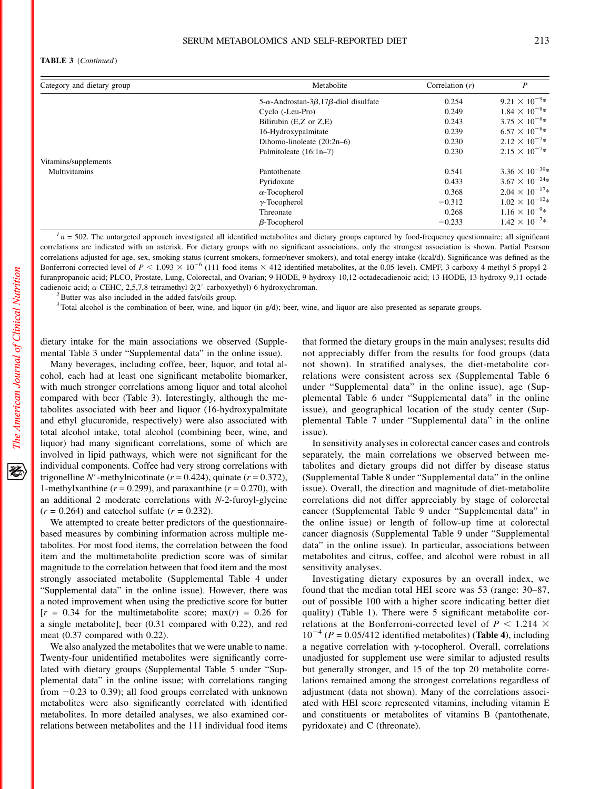#### TABLE 3 (Continued)

| Category and dietary group | Metabolite                                                   | Correlation $(r)$ | P                        |
|----------------------------|--------------------------------------------------------------|-------------------|--------------------------|
|                            | 5- $\alpha$ -Androstan-3 $\beta$ ,17 $\beta$ -diol disulfate | 0.254             | $9.21 \times 10^{-9*}$   |
|                            | Cyclo (-Leu-Pro)                                             | 0.249             | $1.84 \times 10^{-8} *$  |
|                            | Bilirubin (E,Z or Z,E)                                       | 0.243             | $3.75 \times 10^{-8*}$   |
|                            | 16-Hydroxypalmitate                                          | 0.239             | $6.57 \times 10^{-8}$ *  |
|                            | Dihomo-linoleate $(20:2n-6)$                                 | 0.230             | $2.12 \times 10^{-7}$ *  |
|                            | Palmitoleate (16:1n-7)                                       | 0.230             | $2.15 \times 10^{-7}$ *  |
| Vitamins/supplements       |                                                              |                   |                          |
| Multivitamins              | Pantothenate                                                 | 0.541             | $3.36 \times 10^{-39*}$  |
|                            | Pyridoxate                                                   | 0.433             | $3.67 \times 10^{-24}$ * |
|                            | $\alpha$ -Tocopherol                                         | 0.368             | $2.04 \times 10^{-17*}$  |
|                            | $\gamma$ -Tocopherol                                         | $-0.312$          | $1.02 \times 10^{-12*}$  |
|                            | Threonate                                                    | 0.268             | $1.16 \times 10^{-9*}$   |
|                            | $\beta$ -Tocopherol                                          | $-0.233$          | $1.42 \times 10^{-7}$ *  |

 $I_n = 502$ . The untargeted approach investigated all identified metabolites and dietary groups captured by food-frequency questionnaire; all significant correlations are indicated with an asterisk. For dietary groups with no significant associations, only the strongest association is shown. Partial Pearson correlations adjusted for age, sex, smoking status (current smokers, former/never smokers), and total energy intake (kcal/d). Significance was defined as the Bonferroni-corrected level of  $P < 1.093 \times 10^{-6}$  (111 food items  $\times$  412 identified metabolites, at the 0.05 level). CMPF, 3-carboxy-4-methyl-5-propyl-2furanpropanoic acid; PLCO, Prostate, Lung, Colorectal, and Ovarian; 9-HODE, 9-hydroxy-10,12-octadecadienoic acid; 13-HODE, 13-hydroxy-9,11-octadecadienoic acid;  $\alpha$ -CEHC, 2,5,7,8-tetramethyl-2(2'-carboxyethyl)-6-hydroxychroman. <sup>2</sup>Butter was also included in the added fats/oils group.

 $3$  Total alcohol is the combination of beer, wine, and liquor (in g/d); beer, wine, and liquor are also presented as separate groups.

dietary intake for the main associations we observed (Supplemental Table 3 under "Supplemental data" in the online issue).

Many beverages, including coffee, beer, liquor, and total alcohol, each had at least one significant metabolite biomarker, with much stronger correlations among liquor and total alcohol compared with beer (Table 3). Interestingly, although the metabolites associated with beer and liquor (16-hydroxypalmitate and ethyl glucuronide, respectively) were also associated with total alcohol intake, total alcohol (combining beer, wine, and liquor) had many significant correlations, some of which are involved in lipid pathways, which were not significant for the individual components. Coffee had very strong correlations with trigonelline N'-methylnicotinate ( $r = 0.424$ ), quinate ( $r = 0.372$ ), 1-methylxanthine ( $r = 0.299$ ), and paraxanthine ( $r = 0.270$ ), with an additional 2 moderate correlations with N-2-furoyl-glycine  $(r = 0.264)$  and catechol sulfate  $(r = 0.232)$ .

We attempted to create better predictors of the questionnairebased measures by combining information across multiple metabolites. For most food items, the correlation between the food item and the multimetabolite prediction score was of similar magnitude to the correlation between that food item and the most strongly associated metabolite (Supplemental Table 4 under "Supplemental data" in the online issue). However, there was a noted improvement when using the predictive score for butter  $[r = 0.34$  for the multimetabolite score; max $(r) = 0.26$  for a single metabolite], beer (0.31 compared with 0.22), and red meat (0.37 compared with 0.22).

We also analyzed the metabolites that we were unable to name. Twenty-four unidentified metabolites were significantly correlated with dietary groups (Supplemental Table 5 under "Supplemental data" in the online issue; with correlations ranging from  $-0.23$  to 0.39); all food groups correlated with unknown metabolites were also significantly correlated with identified metabolites. In more detailed analyses, we also examined correlations between metabolites and the 111 individual food items

that formed the dietary groups in the main analyses; results did not appreciably differ from the results for food groups (data not shown). In stratified analyses, the diet-metabolite correlations were consistent across sex (Supplemental Table 6 under "Supplemental data" in the online issue), age (Supplemental Table 6 under "Supplemental data" in the online issue), and geographical location of the study center (Supplemental Table 7 under "Supplemental data" in the online issue).

In sensitivity analyses in colorectal cancer cases and controls separately, the main correlations we observed between metabolites and dietary groups did not differ by disease status (Supplemental Table 8 under "Supplemental data" in the online issue). Overall, the direction and magnitude of diet-metabolite correlations did not differ appreciably by stage of colorectal cancer (Supplemental Table 9 under "Supplemental data" in the online issue) or length of follow-up time at colorectal cancer diagnosis (Supplemental Table 9 under "Supplemental data" in the online issue). In particular, associations between metabolites and citrus, coffee, and alcohol were robust in all sensitivity analyses.

Investigating dietary exposures by an overall index, we found that the median total HEI score was 53 (range: 30–87, out of possible 100 with a higher score indicating better diet quality) (Table 1). There were 5 significant metabolite correlations at the Bonferroni-corrected level of  $P < 1.214 \times$  $10^{-4}$  (P = 0.05/412 identified metabolites) (Table 4), including a negative correlation with  $\gamma$ -tocopherol. Overall, correlations unadjusted for supplement use were similar to adjusted results but generally stronger, and 15 of the top 20 metabolite correlations remained among the strongest correlations regardless of adjustment (data not shown). Many of the correlations associated with HEI score represented vitamins, including vitamin E and constituents or metabolites of vitamins B (pantothenate, pyridoxate) and C (threonate).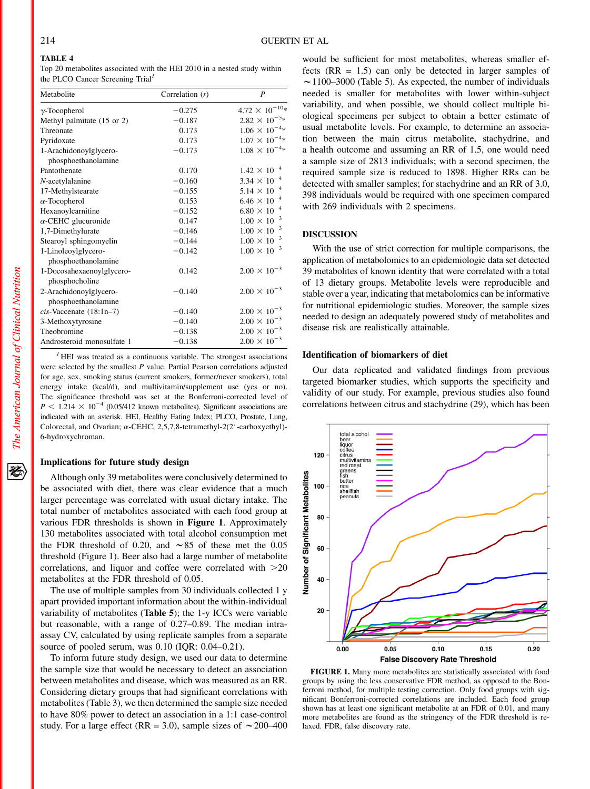# TABLE 4

Top 20 metabolites associated with the HEI 2010 in a nested study within the PLCO Cancer Screening Trial<sup>1</sup>

| Metabolite                                    | Correlation $(r)$ | P                       |
|-----------------------------------------------|-------------------|-------------------------|
| $\gamma$ -Tocopherol                          | $-0.275$          | $4.72 \times 10^{-10*}$ |
| Methyl palmitate (15 or 2)                    | $-0.187$          | $2.82 \times 10^{-5} *$ |
| Threonate                                     | 0.173             | $1.06 \times 10^{-4*}$  |
| Pyridoxate                                    | 0.173             | $1.07 \times 10^{-4} *$ |
| 1-Arachidonoylglycero-<br>phosphoethanolamine | $-0.173$          | $1.08 \times 10^{-4} *$ |
| Pantothenate                                  | 0.170             | $1.42 \times 10^{-4}$   |
| $N$ -acetylalanine                            | $-0.160$          | $3.34 \times 10^{-4}$   |
| 17-Methylstearate                             | $-0.155$          | $5.14 \times 10^{-4}$   |
| $\alpha$ -Tocopherol                          | 0.153             | $6.46 \times 10^{-4}$   |
| Hexanoylcarnitine                             | $-0.152$          | $6.80 \times 10^{-4}$   |
| $\alpha$ -CEHC glucuronide                    | 0.147             | $1.00 \times 10^{-3}$   |
| 1,7-Dimethylurate                             | $-0.146$          | $1.00 \times 10^{-3}$   |
| Stearoyl sphingomyelin                        | $-0.144$          | $1.00 \times 10^{-3}$   |
| 1-Linoleoylglycero-<br>phosphoethanolamine    | $-0.142$          | $1.00 \times 10^{-3}$   |
| 1-Docosahexaenoylglycero-<br>phosphocholine   | 0.142             | $2.00 \times 10^{-3}$   |
| 2-Arachidonoylglycero-<br>phosphoethanolamine | $-0.140$          | $2.00 \times 10^{-3}$   |
| $cis$ -Vaccenate $(18:1n-7)$                  | $-0.140$          | $2.00 \times 10^{-3}$   |
| 3-Methoxytyrosine                             | $-0.140$          | $2.00 \times 10^{-3}$   |
| Theobromine                                   | $-0.138$          | $2.00 \times 10^{-3}$   |
| Androsteroid monosulfate 1                    | $-0.138$          | $2.00 \times 10^{-3}$   |

 $<sup>I</sup>$  HEI was treated as a continuous variable. The strongest associations</sup> were selected by the smallest P value. Partial Pearson correlations adjusted for age, sex, smoking status (current smokers, former/never smokers), total energy intake (kcal/d), and multivitamin/supplement use (yes or no). The significance threshold was set at the Bonferroni-corrected level of  $P \le 1.214 \times 10^{-4}$  (0.05/412 known metabolites). Significant associations are indicated with an asterisk. HEI, Healthy Eating Index; PLCO, Prostate, Lung, Colorectal, and Ovarian;  $\alpha$ -CEHC, 2,5,7,8-tetramethyl-2(2'-carboxyethyl)-6-hydroxychroman.

#### Implications for future study design

Although only 39 metabolites were conclusively determined to be associated with diet, there was clear evidence that a much larger percentage was correlated with usual dietary intake. The total number of metabolites associated with each food group at various FDR thresholds is shown in Figure 1. Approximately 130 metabolites associated with total alcohol consumption met the FDR threshold of 0.20, and  $\sim 85$  of these met the 0.05 threshold (Figure 1). Beer also had a large number of metabolite correlations, and liquor and coffee were correlated with  $>20$ metabolites at the FDR threshold of 0.05.

The use of multiple samples from 30 individuals collected 1 y apart provided important information about the within-individual variability of metabolites (Table 5); the 1-y ICCs were variable but reasonable, with a range of 0.27–0.89. The median intraassay CV, calculated by using replicate samples from a separate source of pooled serum, was 0.10 (IQR: 0.04–0.21).

To inform future study design, we used our data to determine the sample size that would be necessary to detect an association between metabolites and disease, which was measured as an RR. Considering dietary groups that had significant correlations with metabolites (Table 3), we then determined the sample size needed to have 80% power to detect an association in a 1:1 case-control study. For a large effect (RR = 3.0), sample sizes of  $\sim$  200–400

would be sufficient for most metabolites, whereas smaller effects  $(RR = 1.5)$  can only be detected in larger samples of  $\sim$  1100–3000 (Table 5). As expected, the number of individuals needed is smaller for metabolites with lower within-subject variability, and when possible, we should collect multiple biological specimens per subject to obtain a better estimate of usual metabolite levels. For example, to determine an association between the main citrus metabolite, stachydrine, and a health outcome and assuming an RR of 1.5, one would need a sample size of 2813 individuals; with a second specimen, the required sample size is reduced to 1898. Higher RRs can be detected with smaller samples; for stachydrine and an RR of 3.0, 398 individuals would be required with one specimen compared with 269 individuals with 2 specimens.

# DISCUSSION

With the use of strict correction for multiple comparisons, the application of metabolomics to an epidemiologic data set detected 39 metabolites of known identity that were correlated with a total of 13 dietary groups. Metabolite levels were reproducible and stable over a year, indicating that metabolomics can be informative for nutritional epidemiologic studies. Moreover, the sample sizes needed to design an adequately powered study of metabolites and disease risk are realistically attainable.

# Identification of biomarkers of diet

Our data replicated and validated findings from previous targeted biomarker studies, which supports the specificity and validity of our study. For example, previous studies also found correlations between citrus and stachydrine (29), which has been



FIGURE 1. Many more metabolites are statistically associated with food groups by using the less conservative FDR method, as opposed to the Bonferroni method, for multiple testing correction. Only food groups with significant Bonferroni-corrected correlations are included. Each food group shown has at least one significant metabolite at an FDR of 0.01, and many more metabolites are found as the stringency of the FDR threshold is relaxed. FDR, false discovery rate.

经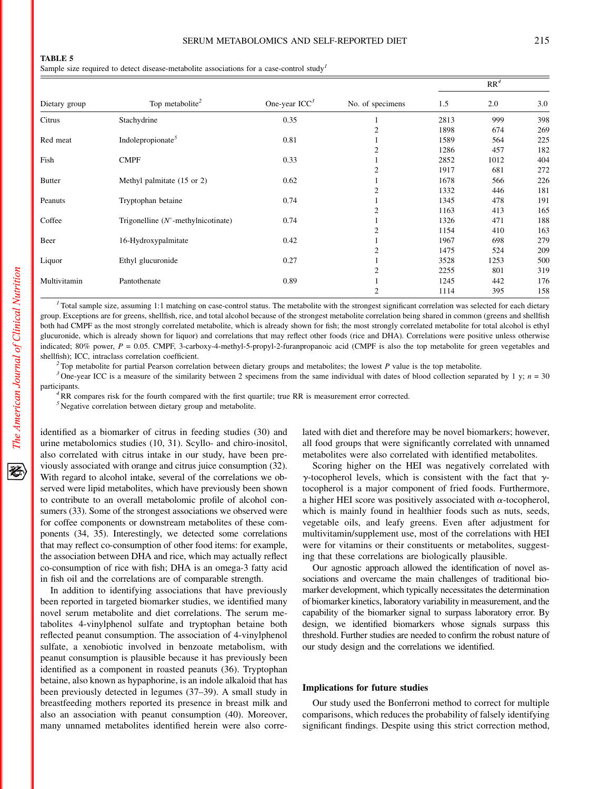Sample size required to detect disease-metabolite associations for a case-control study<sup>1</sup>

| Dietary group | Top metabolite <sup>2</sup>           | One-year $ICC3$ | No. of specimens | $RR^4$ |      |     |
|---------------|---------------------------------------|-----------------|------------------|--------|------|-----|
|               |                                       |                 |                  | 1.5    | 2.0  | 3.0 |
| Citrus        | Stachydrine                           | 0.35            |                  | 2813   | 999  | 398 |
|               |                                       |                 | 2                | 1898   | 674  | 269 |
| Red meat      | Indole propionate <sup>5</sup>        | 0.81            |                  | 1589   | 564  | 225 |
|               |                                       |                 | 2                | 1286   | 457  | 182 |
| Fish          | <b>CMPF</b>                           | 0.33            |                  | 2852   | 1012 | 404 |
|               |                                       |                 | $\overline{2}$   | 1917   | 681  | 272 |
| <b>Butter</b> | Methyl palmitate (15 or 2)            | 0.62            |                  | 1678   | 566  | 226 |
|               |                                       |                 | $\overline{2}$   | 1332   | 446  | 181 |
| Peanuts       | Tryptophan betaine                    | 0.74            |                  | 1345   | 478  | 191 |
|               |                                       |                 | $\overline{2}$   | 1163   | 413  | 165 |
| Coffee        | Trigonelline $(N'$ -methylnicotinate) | 0.74            |                  | 1326   | 471  | 188 |
|               |                                       |                 | 2                | 1154   | 410  | 163 |
| Beer          | 16-Hydroxypalmitate                   | 0.42            |                  | 1967   | 698  | 279 |
|               |                                       |                 | 2                | 1475   | 524  | 209 |
| Liquor        | Ethyl glucuronide                     | 0.27            |                  | 3528   | 1253 | 500 |
|               |                                       |                 |                  | 2255   | 801  | 319 |
| Multivitamin  | Pantothenate                          | 0.89            |                  | 1245   | 442  | 176 |
|               |                                       |                 | 2                | 1114   | 395  | 158 |

Total sample size, assuming 1:1 matching on case-control status. The metabolite with the strongest significant correlation was selected for each dietary group. Exceptions are for greens, shellfish, rice, and total alcohol because of the strongest metabolite correlation being shared in common (greens and shellfish both had CMPF as the most strongly correlated metabolite, which is already shown for fish; the most strongly correlated metabolite for total alcohol is ethyl glucuronide, which is already shown for liquor) and correlations that may reflect other foods (rice and DHA). Correlations were positive unless otherwise indicated; 80% power, P = 0.05. CMPF, 3-carboxy-4-methyl-5-propyl-2-furanpropanoic acid (CMPF is also the top metabolite for green vegetables and shellfish); ICC, intraclass correlation coefficient.<br><sup>2</sup> Top metabolite for partial Pearson correlation between dietary groups and metabolites; the lowest P value is the top metabolite.<br><sup>3</sup> One-vear ICC is a measure of th

participants.<br><sup>4</sup>RR compares risk for the fourth compared with the first quartile; true RR is measurement error corrected.

 $5$  Negative correlation between dietary group and metabolite.

identified as a biomarker of citrus in feeding studies (30) and urine metabolomics studies (10, 31). Scyllo- and chiro-inositol, also correlated with citrus intake in our study, have been previously associated with orange and citrus juice consumption (32). With regard to alcohol intake, several of the correlations we observed were lipid metabolites, which have previously been shown to contribute to an overall metabolomic profile of alcohol consumers (33). Some of the strongest associations we observed were for coffee components or downstream metabolites of these components (34, 35). Interestingly, we detected some correlations that may reflect co-consumption of other food items: for example, the association between DHA and rice, which may actually reflect co-consumption of rice with fish; DHA is an omega-3 fatty acid in fish oil and the correlations are of comparable strength.

In addition to identifying associations that have previously been reported in targeted biomarker studies, we identified many novel serum metabolite and diet correlations. The serum metabolites 4-vinylphenol sulfate and tryptophan betaine both reflected peanut consumption. The association of 4-vinylphenol sulfate, a xenobiotic involved in benzoate metabolism, with peanut consumption is plausible because it has previously been identified as a component in roasted peanuts (36). Tryptophan betaine, also known as hypaphorine, is an indole alkaloid that has been previously detected in legumes (37–39). A small study in breastfeeding mothers reported its presence in breast milk and also an association with peanut consumption (40). Moreover, many unnamed metabolites identified herein were also correlated with diet and therefore may be novel biomarkers; however, all food groups that were significantly correlated with unnamed metabolites were also correlated with identified metabolites.

Scoring higher on the HEI was negatively correlated with  $\gamma$ -tocopherol levels, which is consistent with the fact that  $\gamma$ tocopherol is a major component of fried foods. Furthermore, a higher HEI score was positively associated with  $\alpha$ -tocopherol, which is mainly found in healthier foods such as nuts, seeds, vegetable oils, and leafy greens. Even after adjustment for multivitamin/supplement use, most of the correlations with HEI were for vitamins or their constituents or metabolites, suggesting that these correlations are biologically plausible.

Our agnostic approach allowed the identification of novel associations and overcame the main challenges of traditional biomarker development, which typically necessitates the determination of biomarker kinetics, laboratory variability in measurement, and the capability of the biomarker signal to surpass laboratory error. By design, we identified biomarkers whose signals surpass this threshold. Further studies are needed to confirm the robust nature of our study design and the correlations we identified.

#### Implications for future studies

Our study used the Bonferroni method to correct for multiple comparisons, which reduces the probability of falsely identifying significant findings. Despite using this strict correction method,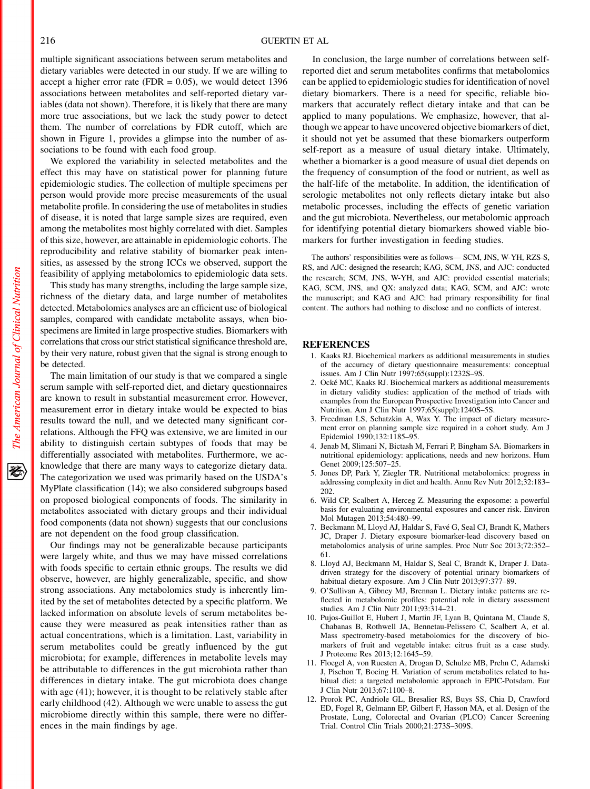multiple significant associations between serum metabolites and dietary variables were detected in our study. If we are willing to accept a higher error rate (FDR =  $0.05$ ), we would detect 1396 associations between metabolites and self-reported dietary variables (data not shown). Therefore, it is likely that there are many more true associations, but we lack the study power to detect them. The number of correlations by FDR cutoff, which are shown in Figure 1, provides a glimpse into the number of associations to be found with each food group.

We explored the variability in selected metabolites and the effect this may have on statistical power for planning future epidemiologic studies. The collection of multiple specimens per person would provide more precise measurements of the usual metabolite profile. In considering the use of metabolites in studies of disease, it is noted that large sample sizes are required, even among the metabolites most highly correlated with diet. Samples of this size, however, are attainable in epidemiologic cohorts. The reproducibility and relative stability of biomarker peak intensities, as assessed by the strong ICCs we observed, support the feasibility of applying metabolomics to epidemiologic data sets.

This study has many strengths, including the large sample size, richness of the dietary data, and large number of metabolites detected. Metabolomics analyses are an efficient use of biological samples, compared with candidate metabolite assays, when biospecimens are limited in large prospective studies. Biomarkers with correlations that cross our strict statistical significance threshold are, by their very nature, robust given that the signal is strong enough to be detected.

The main limitation of our study is that we compared a single serum sample with self-reported diet, and dietary questionnaires are known to result in substantial measurement error. However, measurement error in dietary intake would be expected to bias results toward the null, and we detected many significant correlations. Although the FFQ was extensive, we are limited in our ability to distinguish certain subtypes of foods that may be differentially associated with metabolites. Furthermore, we acknowledge that there are many ways to categorize dietary data. The categorization we used was primarily based on the USDA's MyPlate classification (14); we also considered subgroups based on proposed biological components of foods. The similarity in metabolites associated with dietary groups and their individual food components (data not shown) suggests that our conclusions are not dependent on the food group classification.

Our findings may not be generalizable because participants were largely white, and thus we may have missed correlations with foods specific to certain ethnic groups. The results we did observe, however, are highly generalizable, specific, and show strong associations. Any metabolomics study is inherently limited by the set of metabolites detected by a specific platform. We lacked information on absolute levels of serum metabolites because they were measured as peak intensities rather than as actual concentrations, which is a limitation. Last, variability in serum metabolites could be greatly influenced by the gut microbiota; for example, differences in metabolite levels may be attributable to differences in the gut microbiota rather than differences in dietary intake. The gut microbiota does change with age (41); however, it is thought to be relatively stable after early childhood (42). Although we were unable to assess the gut microbiome directly within this sample, there were no differences in the main findings by age.

In conclusion, the large number of correlations between selfreported diet and serum metabolites confirms that metabolomics can be applied to epidemiologic studies for identification of novel dietary biomarkers. There is a need for specific, reliable biomarkers that accurately reflect dietary intake and that can be applied to many populations. We emphasize, however, that although we appear to have uncovered objective biomarkers of diet, it should not yet be assumed that these biomarkers outperform self-report as a measure of usual dietary intake. Ultimately, whether a biomarker is a good measure of usual diet depends on the frequency of consumption of the food or nutrient, as well as the half-life of the metabolite. In addition, the identification of serologic metabolites not only reflects dietary intake but also metabolic processes, including the effects of genetic variation and the gut microbiota. Nevertheless, our metabolomic approach for identifying potential dietary biomarkers showed viable biomarkers for further investigation in feeding studies.

The authors' responsibilities were as follows— SCM, JNS, W-YH, RZS-S, RS, and AJC: designed the research; KAG, SCM, JNS, and AJC: conducted the research; SCM, JNS, W-YH, and AJC: provided essential materials; KAG, SCM, JNS, and QX: analyzed data; KAG, SCM, and AJC: wrote the manuscript; and KAG and AJC: had primary responsibility for final content. The authors had nothing to disclose and no conflicts of interest.

## REFERENCES

- 1. Kaaks RJ. Biochemical markers as additional measurements in studies of the accuracy of dietary questionnaire measurements: conceptual issues. Am J Clin Nutr 1997;65(suppl):1232S–9S.
- 2. Ocké MC, Kaaks RJ. Biochemical markers as additional measurements in dietary validity studies: application of the method of triads with examples from the European Prospective Investigation into Cancer and Nutrition. Am J Clin Nutr 1997;65(suppl):1240S–5S.
- 3. Freedman LS, Schatzkin A, Wax Y. The impact of dietary measurement error on planning sample size required in a cohort study. Am J Epidemiol 1990;132:1185–95.
- 4. Jenab M, Slimani N, Bictash M, Ferrari P, Bingham SA. Biomarkers in nutritional epidemiology: applications, needs and new horizons. Hum Genet 2009;125:507–25.
- 5. Jones DP, Park Y, Ziegler TR. Nutritional metabolomics: progress in addressing complexity in diet and health. Annu Rev Nutr 2012;32:183– 202.
- 6. Wild CP, Scalbert A, Herceg Z. Measuring the exposome: a powerful basis for evaluating environmental exposures and cancer risk. Environ Mol Mutagen 2013;54:480–99.
- 7. Beckmann M, Lloyd AJ, Haldar S, Favé G, Seal CJ, Brandt K, Mathers JC, Draper J. Dietary exposure biomarker-lead discovery based on metabolomics analysis of urine samples. Proc Nutr Soc 2013;72:352– 61.
- 8. Lloyd AJ, Beckmann M, Haldar S, Seal C, Brandt K, Draper J. Datadriven strategy for the discovery of potential urinary biomarkers of habitual dietary exposure. Am J Clin Nutr 2013;97:377–89.
- 9. O'Sullivan A, Gibney MJ, Brennan L. Dietary intake patterns are reflected in metabolomic profiles: potential role in dietary assessment studies. Am J Clin Nutr 2011;93:314–21.
- 10. Pujos-Guillot E, Hubert J, Martin JF, Lyan B, Quintana M, Claude S, Chabanas B, Rothwell JA, Bennetau-Pelissero C, Scalbert A, et al. Mass spectrometry-based metabolomics for the discovery of biomarkers of fruit and vegetable intake: citrus fruit as a case study. J Proteome Res 2013;12:1645–59.
- 11. Floegel A, von Ruesten A, Drogan D, Schulze MB, Prehn C, Adamski J, Pischon T, Boeing H. Variation of serum metabolites related to habitual diet: a targeted metabolomic approach in EPIC-Potsdam. Eur J Clin Nutr 2013;67:1100–8.
- 12. Prorok PC, Andriole GL, Bresalier RS, Buys SS, Chia D, Crawford ED, Fogel R, Gelmann EP, Gilbert F, Hasson MA, et al. Design of the Prostate, Lung, Colorectal and Ovarian (PLCO) Cancer Screening Trial. Control Clin Trials 2000;21:273S–309S.